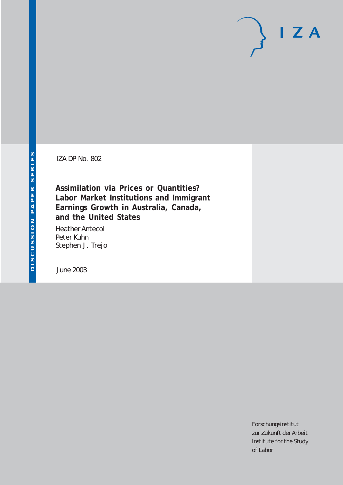IZA DP No. 802

## **Assimilation via Prices or Quantities? Labor Market Institutions and Immigrant Earnings Growth in Australia, Canada, and the United States**

Heather Antecol Peter Kuhn Stephen J. Trejo

June 2003

Forschungsinstitut zur Zukunft der Arbeit Institute for the Study of Labor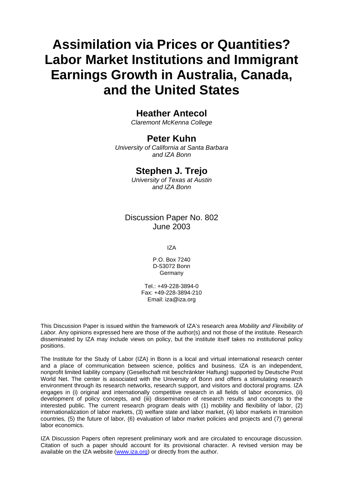# **Assimilation via Prices or Quantities? Labor Market Institutions and Immigrant Earnings Growth in Australia, Canada, and the United States**

### **Heather Antecol**

*Claremont McKenna College* 

## **Peter Kuhn**

*University of California at Santa Barbara and IZA Bonn* 

### **Stephen J. Trejo**

*University of Texas at Austin and IZA Bonn* 

### Discussion Paper No. 802 June 2003

IZA

P.O. Box 7240 D-53072 Bonn Germany

Tel.: +49-228-3894-0 Fax: +49-228-3894-210 Email: [iza@iza.org](mailto:iza@iza.org)

This Discussion Paper is issued within the framework of IZA's research area *Mobility and Flexibility of*  Labor. Any opinions expressed here are those of the author(s) and not those of the institute. Research disseminated by IZA may include views on policy, but the institute itself takes no institutional policy positions.

The Institute for the Study of Labor (IZA) in Bonn is a local and virtual international research center and a place of communication between science, politics and business. IZA is an independent, nonprofit limited liability company (Gesellschaft mit beschränkter Haftung) supported by Deutsche Post World Net. The center is associated with the University of Bonn and offers a stimulating research environment through its research networks, research support, and visitors and doctoral programs. IZA engages in (i) original and internationally competitive research in all fields of labor economics, (ii) development of policy concepts, and (iii) dissemination of research results and concepts to the interested public. The current research program deals with (1) mobility and flexibility of labor, (2) internationalization of labor markets, (3) welfare state and labor market, (4) labor markets in transition countries, (5) the future of labor, (6) evaluation of labor market policies and projects and (7) general labor economics.

IZA Discussion Papers often represent preliminary work and are circulated to encourage discussion. Citation of such a paper should account for its provisional character. A revised version may be available on the IZA website ([www.iza.org](http://www.iza.org/)) or directly from the author.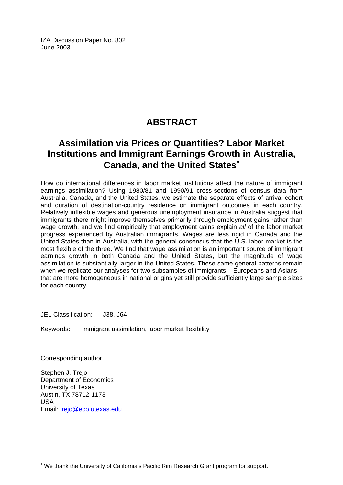IZA Discussion Paper No. 802 June 2003

# **ABSTRACT**

# **Assimilation via Prices or Quantities? Labor Market Institutions and Immigrant Earnings Growth in Australia, Canada, and the United States**[∗](#page-2-0)

How do international differences in labor market institutions affect the nature of immigrant earnings assimilation? Using 1980/81 and 1990/91 cross-sections of census data from Australia, Canada, and the United States, we estimate the separate effects of arrival cohort and duration of destination-country residence on immigrant outcomes in each country. Relatively inflexible wages and generous unemployment insurance in Australia suggest that immigrants there might improve themselves primarily through employment gains rather than wage growth, and we find empirically that employment gains explain *all* of the labor market progress experienced by Australian immigrants. Wages are less rigid in Canada and the United States than in Australia, with the general consensus that the U.S. labor market is the most flexible of the three. We find that wage assimilation is an important source of immigrant earnings growth in both Canada and the United States, but the magnitude of wage assimilation is substantially larger in the United States. These same general patterns remain when we replicate our analyses for two subsamples of immigrants – Europeans and Asians – that are more homogeneous in national origins yet still provide sufficiently large sample sizes for each country.

JEL Classification: J38, J64

Keywords: immigrant assimilation, labor market flexibility

Corresponding author:

 $\overline{a}$ 

Stephen J. Trejo Department of Economics University of Texas Austin, TX 78712-1173 USA Email: [trejo@eco.utexas.edu](mailto:trejo@eco.utexas.edu)

<span id="page-2-0"></span><sup>∗</sup> We thank the University of California's Pacific Rim Research Grant program for support.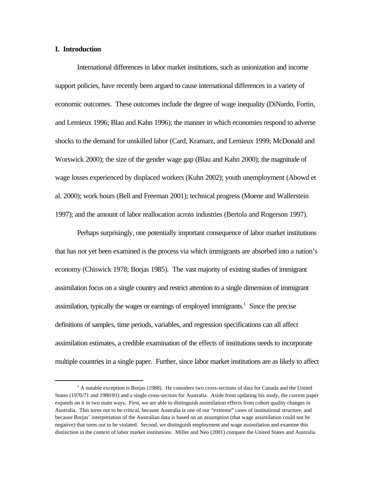#### **I. Introduction**

 $\overline{a}$ 

International differences in labor market institutions, such as unionization and income support policies, have recently been argued to cause international differences in a variety of economic outcomes. These outcomes include the degree of wage inequality (DiNardo, Fortin, and Lemieux 1996; Blau and Kahn 1996); the manner in which economies respond to adverse shocks to the demand for unskilled labor (Card, Kramarz, and Lemieux 1999; McDonald and Worswick 2000); the size of the gender wage gap (Blau and Kahn 2000); the magnitude of wage losses experienced by displaced workers (Kuhn 2002); youth unemployment (Abowd et al. 2000); work hours (Bell and Freeman 2001); technical progress (Moene and Wallerstein 1997); and the amount of labor reallocation across industries (Bertola and Rogerson 1997).

Perhaps surprisingly, one potentially important consequence of labor market institutions that has not yet been examined is the process via which immigrants are absorbed into a nation's economy (Chiswick 1978; Borjas 1985). The vast majority of existing studies of immigrant assimilation focus on a single country and restrict attention to a single dimension of immigrant assimilation, typically the wages or earnings of employed immigrants.<sup>1</sup> Since the precise definitions of samples, time periods, variables, and regression specifications can all affect assimilation estimates, a credible examination of the effects of institutions needs to incorporate multiple countries in a single paper. Further, since labor market institutions are as likely to affect

<sup>&</sup>lt;sup>1</sup> A notable exception is Borjas (1988). He considers two cross-sections of data for Canada and the United States (1970/71 and 1980/81) and a single cross-section for Australia. Aside from updating his study, the current paper expands on it in two main ways. First, we are able to distinguish assimilation effects from cohort quality changes in Australia. This turns out to be critical, because Australia is one of our "extreme" cases of institutional structure, and because Borjas' interpretation of the Australian data is based on an assumption (that wage assimilation could not be negative) that turns out to be violated. Second, we distinguish employment and wage assimilation and examine this distinction in the context of labor market institutions. Miller and Neo (2001) compare the United States and Australia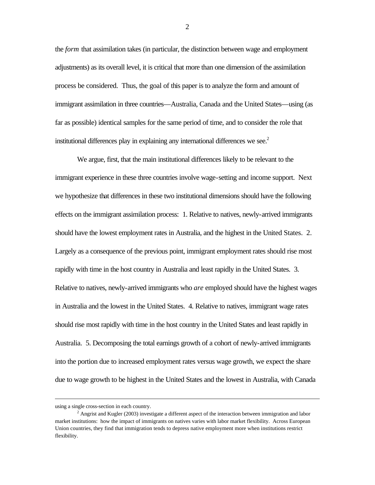the *form* that assimilation takes (in particular, the distinction between wage and employment adjustments) as its overall level, it is critical that more than one dimension of the assimilation process be considered. Thus, the goal of this paper is to analyze the form and amount of immigrant assimilation in three countries—Australia, Canada and the United States—using (as far as possible) identical samples for the same period of time, and to consider the role that institutional differences play in explaining any international differences we see. $2$ 

We argue, first, that the main institutional differences likely to be relevant to the immigrant experience in these three countries involve wage-setting and income support. Next we hypothesize that differences in these two institutional dimensions should have the following effects on the immigrant assimilation process: 1. Relative to natives, newly-arrived immigrants should have the lowest employment rates in Australia, and the highest in the United States. 2. Largely as a consequence of the previous point, immigrant employment rates should rise most rapidly with time in the host country in Australia and least rapidly in the United States. 3. Relative to natives, newly-arrived immigrants who *are* employed should have the highest wages in Australia and the lowest in the United States. 4. Relative to natives, immigrant wage rates should rise most rapidly with time in the host country in the United States and least rapidly in Australia. 5. Decomposing the total earnings growth of a cohort of newly-arrived immigrants into the portion due to increased employment rates versus wage growth, we expect the share due to wage growth to be highest in the United States and the lowest in Australia, with Canada

 $\overline{a}$ 

using a single cross-section in each country.

<sup>&</sup>lt;sup>2</sup> Angrist and Kugler (2003) investigate a different aspect of the interaction between immigration and labor market institutions: how the impact of immigrants on natives varies with labor market flexibility. Across European Union countries, they find that immigration tends to depress native employment more when institutions restrict flexibility.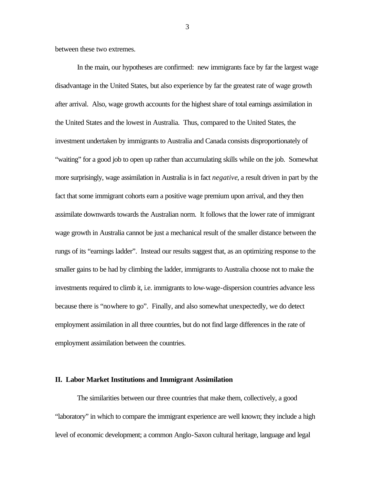between these two extremes.

In the main, our hypotheses are confirmed: new immigrants face by far the largest wage disadvantage in the United States, but also experience by far the greatest rate of wage growth after arrival. Also, wage growth accounts for the highest share of total earnings assimilation in the United States and the lowest in Australia. Thus, compared to the United States, the investment undertaken by immigrants to Australia and Canada consists disproportionately of "waiting" for a good job to open up rather than accumulating skills while on the job. Somewhat more surprisingly, wage assimilation in Australia is in fact *negative*, a result driven in part by the fact that some immigrant cohorts earn a positive wage premium upon arrival, and they then assimilate downwards towards the Australian norm. It follows that the lower rate of immigrant wage growth in Australia cannot be just a mechanical result of the smaller distance between the rungs of its "earnings ladder". Instead our results suggest that, as an optimizing response to the smaller gains to be had by climbing the ladder, immigrants to Australia choose not to make the investments required to climb it, i.e. immigrants to low-wage-dispersion countries advance less because there is "nowhere to go". Finally, and also somewhat unexpectedly, we do detect employment assimilation in all three countries, but do not find large differences in the rate of employment assimilation between the countries.

#### **II. Labor Market Institutions and Immigrant Assimilation**

The similarities between our three countries that make them, collectively, a good "laboratory" in which to compare the immigrant experience are well known; they include a high level of economic development; a common Anglo-Saxon cultural heritage, language and legal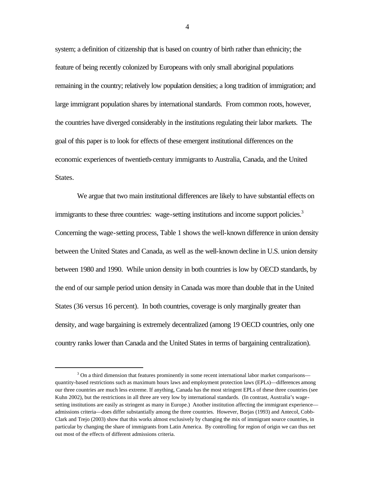system; a definition of citizenship that is based on country of birth rather than ethnicity; the feature of being recently colonized by Europeans with only small aboriginal populations remaining in the country; relatively low population densities; a long tradition of immigration; and large immigrant population shares by international standards. From common roots, however, the countries have diverged considerably in the institutions regulating their labor markets. The goal of this paper is to look for effects of these emergent institutional differences on the economic experiences of twentieth-century immigrants to Australia, Canada, and the United States.

We argue that two main institutional differences are likely to have substantial effects on immigrants to these three countries: wage-setting institutions and income support policies.<sup>3</sup> Concerning the wage-setting process, Table 1 shows the well-known difference in union density between the United States and Canada, as well as the well-known decline in U.S. union density between 1980 and 1990. While union density in both countries is low by OECD standards, by the end of our sample period union density in Canada was more than double that in the United States (36 versus 16 percent). In both countries, coverage is only marginally greater than density, and wage bargaining is extremely decentralized (among 19 OECD countries, only one country ranks lower than Canada and the United States in terms of bargaining centralization).

 $\overline{a}$ 

<sup>&</sup>lt;sup>3</sup> On a third dimension that features prominently in some recent international labor market comparisons quantity-based restrictions such as maximum hours laws and employment protection laws (EPLs)—differences among our three countries are much less extreme. If anything, Canada has the most stringent EPLs of these three countries (see Kuhn 2002), but the restrictions in all three are very low by international standards. (In contrast, Australia's wagesetting institutions are easily as stringent as many in Europe.) Another institution affecting the immigrant experience admissions criteria—does differ substantially among the three countries. However, Borjas (1993) and Antecol, Cobb-Clark and Trejo (2003) show that this works almost exclusively by changing the mix of immigrant source countries, in particular by changing the share of immigrants from Latin America. By controlling for region of origin we can thus net out most of the effects of different admissions criteria.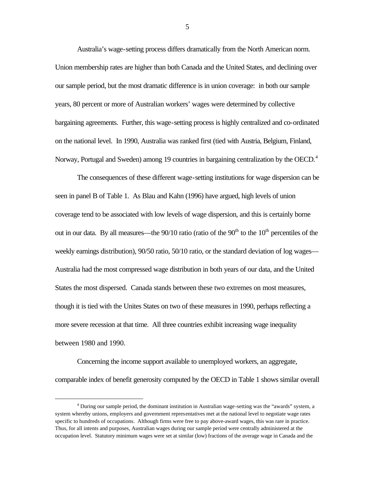Australia's wage-setting process differs dramatically from the North American norm. Union membership rates are higher than both Canada and the United States, and declining over our sample period, but the most dramatic difference is in union coverage: in both our sample years, 80 percent or more of Australian workers' wages were determined by collective bargaining agreements. Further, this wage-setting process is highly centralized and co-ordinated on the national level. In 1990, Australia was ranked first (tied with Austria, Belgium, Finland, Norway, Portugal and Sweden) among 19 countries in bargaining centralization by the OECD.<sup>4</sup>

The consequences of these different wage-setting institutions for wage dispersion can be seen in panel B of Table 1. As Blau and Kahn (1996) have argued, high levels of union coverage tend to be associated with low levels of wage dispersion, and this is certainly borne out in our data. By all measures—the  $90/10$  ratio (ratio of the  $90<sup>th</sup>$  to the  $10<sup>th</sup>$  percentiles of the weekly earnings distribution), 90/50 ratio, 50/10 ratio, or the standard deviation of log wages— Australia had the most compressed wage distribution in both years of our data, and the United States the most dispersed. Canada stands between these two extremes on most measures, though it is tied with the Unites States on two of these measures in 1990, perhaps reflecting a more severe recession at that time. All three countries exhibit increasing wage inequality between 1980 and 1990.

Concerning the income support available to unemployed workers, an aggregate, comparable index of benefit generosity computed by the OECD in Table 1 shows similar overall

 $\overline{a}$ 

<sup>4</sup> During our sample period, the dominant institution in Australian wage-setting was the "awards" system, a system whereby unions, employers and government representatives met at the national level to negotiate wage rates specific to hundreds of occupations. Although firms were free to pay above-award wages, this was rare in practice. Thus, for all intents and purposes, Australian wages during our sample period were centrally administered at the occupation level. Statutory minimum wages were set at similar (low) fractions of the average wage in Canada and the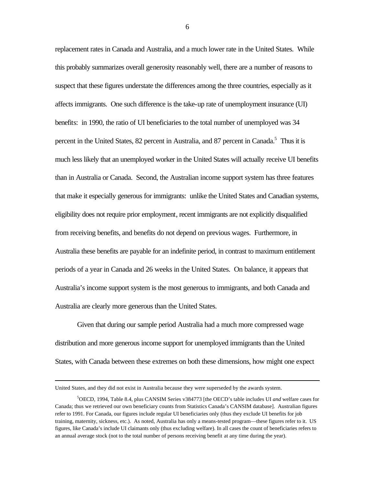replacement rates in Canada and Australia, and a much lower rate in the United States. While this probably summarizes overall generosity reasonably well, there are a number of reasons to suspect that these figures understate the differences among the three countries, especially as it affects immigrants. One such difference is the take-up rate of unemployment insurance (UI) benefits: in 1990, the ratio of UI beneficiaries to the total number of unemployed was 34 percent in the United States, 82 percent in Australia, and 87 percent in Canada.<sup>5</sup> Thus it is much less likely that an unemployed worker in the United States will actually receive UI benefits than in Australia or Canada. Second, the Australian income support system has three features that make it especially generous for immigrants: unlike the United States and Canadian systems, eligibility does not require prior employment, recent immigrants are not explicitly disqualified from receiving benefits, and benefits do not depend on previous wages. Furthermore, in Australia these benefits are payable for an indefinite period, in contrast to maximum entitlement periods of a year in Canada and 26 weeks in the United States. On balance, it appears that Australia's income support system is the most generous to immigrants, and both Canada and Australia are clearly more generous than the United States.

Given that during our sample period Australia had a much more compressed wage distribution and more generous income support for unemployed immigrants than the United States, with Canada between these extremes on both these dimensions, how might one expect

 $\overline{a}$ 

United States, and they did not exist in Australia because they were superseded by the awards system.

<sup>5</sup>OECD, 1994, Table 8.4, plus CANSIM Series v384773 [the OECD's table includes UI *and* welfare cases for Canada; thus we retrieved our own beneficiary counts from Statistics Canada's CANSIM database]. Australian figures refer to 1991. For Canada, our figures include regular UI beneficiaries only (thus they exclude UI benefits for job training, maternity, sickness, etc.). As noted, Australia has only a means-tested program—these figures refer to it. US figures, like Canada's include UI claimants only (thus excluding welfare). In all cases the count of beneficiaries refers to an annual average stock (not to the total number of persons receiving benefit at any time during the year).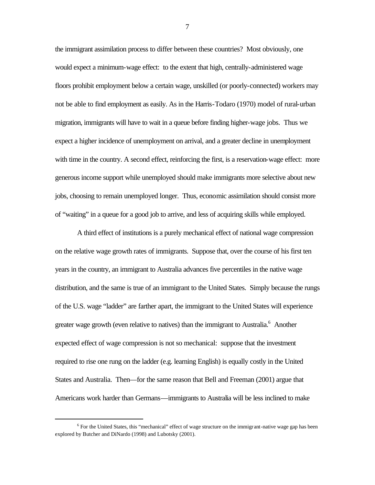the immigrant assimilation process to differ between these countries? Most obviously, one would expect a minimum-wage effect: to the extent that high, centrally-administered wage floors prohibit employment below a certain wage, unskilled (or poorly-connected) workers may not be able to find employment as easily. As in the Harris-Todaro (1970) model of rural-urban migration, immigrants will have to wait in a queue before finding higher-wage jobs. Thus we expect a higher incidence of unemployment on arrival, and a greater decline in unemployment with time in the country. A second effect, reinforcing the first, is a reservation-wage effect: more generous income support while unemployed should make immigrants more selective about new jobs, choosing to remain unemployed longer. Thus, economic assimilation should consist more of "waiting" in a queue for a good job to arrive, and less of acquiring skills while employed.

A third effect of institutions is a purely mechanical effect of national wage compression on the relative wage growth rates of immigrants. Suppose that, over the course of his first ten years in the country, an immigrant to Australia advances five percentiles in the native wage distribution, and the same is true of an immigrant to the United States. Simply because the rungs of the U.S. wage "ladder" are farther apart, the immigrant to the United States will experience greater wage growth (even relative to natives) than the immigrant to Australia.<sup>6</sup> Another expected effect of wage compression is not so mechanical: suppose that the investment required to rise one rung on the ladder (e.g. learning English) is equally costly in the United States and Australia. Then—for the same reason that Bell and Freeman (2001) argue that Americans work harder than Germans—immigrants to Australia will be less inclined to make

 $\overline{a}$ 

<sup>&</sup>lt;sup>6</sup> For the United States, this "mechanical" effect of wage structure on the immigrant-native wage gap has been explored by Butcher and DiNardo (1998) and Lubotsky (2001).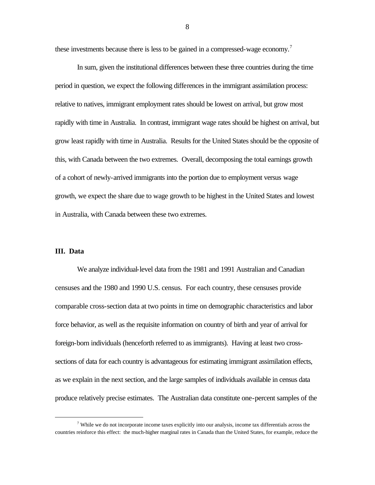these investments because there is less to be gained in a compressed-wage economy.<sup>7</sup>

In sum, given the institutional differences between these three countries during the time period in question, we expect the following differences in the immigrant assimilation process: relative to natives, immigrant employment rates should be lowest on arrival, but grow most rapidly with time in Australia. In contrast, immigrant wage rates should be highest on arrival, but grow least rapidly with time in Australia. Results for the United States should be the opposite of this, with Canada between the two extremes. Overall, decomposing the total earnings growth of a cohort of newly-arrived immigrants into the portion due to employment versus wage growth, we expect the share due to wage growth to be highest in the United States and lowest in Australia, with Canada between these two extremes.

#### **III. Data**

 $\overline{a}$ 

We analyze individual-level data from the 1981 and 1991 Australian and Canadian censuses and the 1980 and 1990 U.S. census. For each country, these censuses provide comparable cross-section data at two points in time on demographic characteristics and labor force behavior, as well as the requisite information on country of birth and year of arrival for foreign-born individuals (henceforth referred to as immigrants). Having at least two crosssections of data for each country is advantageous for estimating immigrant assimilation effects, as we explain in the next section, and the large samples of individuals available in census data produce relatively precise estimates. The Australian data constitute one-percent samples of the

 $\eta$  While we do not incorporate income taxes explicitly into our analysis, income tax differentials across the countries reinforce this effect: the much-higher marginal rates in Canada than the United States, for example, reduce the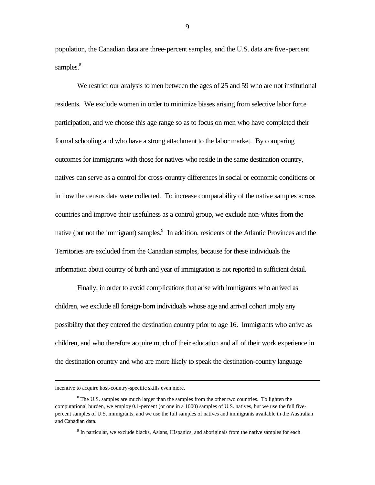population, the Canadian data are three-percent samples, and the U.S. data are five-percent samples.<sup>8</sup>

We restrict our analysis to men between the ages of 25 and 59 who are not institutional residents. We exclude women in order to minimize biases arising from selective labor force participation, and we choose this age range so as to focus on men who have completed their formal schooling and who have a strong attachment to the labor market. By comparing outcomes for immigrants with those for natives who reside in the same destination country, natives can serve as a control for cross-country differences in social or economic conditions or in how the census data were collected. To increase comparability of the native samples across countries and improve their usefulness as a control group, we exclude non-whites from the native (but not the immigrant) samples.<sup>9</sup> In addition, residents of the Atlantic Provinces and the Territories are excluded from the Canadian samples, because for these individuals the information about country of birth and year of immigration is not reported in sufficient detail.

Finally, in order to avoid complications that arise with immigrants who arrived as children, we exclude all foreign-born individuals whose age and arrival cohort imply any possibility that they entered the destination country prior to age 16. Immigrants who arrive as children, and who therefore acquire much of their education and all of their work experience in the destination country and who are more likely to speak the destination-country language

 $\overline{a}$ 

incentive to acquire host-country-specific skills even more.

<sup>&</sup>lt;sup>8</sup> The U.S. samples are much larger than the samples from the other two countries. To lighten the computational burden, we employ 0.1-percent (or one in a 1000) samples of U.S. natives, but we use the full fivepercent samples of U.S. immigrants, and we use the full samples of natives and immigrants available in the Australian and Canadian data.

<sup>&</sup>lt;sup>9</sup> In particular, we exclude blacks, Asians, Hispanics, and aboriginals from the native samples for each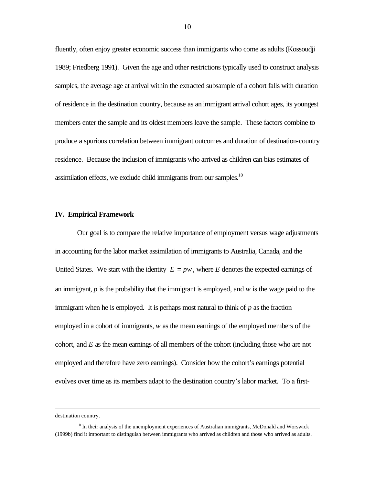fluently, often enjoy greater economic success than immigrants who come as adults (Kossoudji 1989; Friedberg 1991). Given the age and other restrictions typically used to construct analysis samples, the average age at arrival within the extracted subsample of a cohort falls with duration of residence in the destination country, because as an immigrant arrival cohort ages, its youngest members enter the sample and its oldest members leave the sample. These factors combine to produce a spurious correlation between immigrant outcomes and duration of destination-country residence. Because the inclusion of immigrants who arrived as children can bias estimates of assimilation effects, we exclude child immigrants from our samples.<sup>10</sup>

#### **IV. Empirical Framework**

Our goal is to compare the relative importance of employment versus wage adjustments in accounting for the labor market assimilation of immigrants to Australia, Canada, and the United States. We start with the identity  $E = pw$ , where *E* denotes the expected earnings of an immigrant, *p* is the probability that the immigrant is employed, and *w* is the wage paid to the immigrant when he is employed. It is perhaps most natural to think of *p* as the fraction employed in a cohort of immigrants, *w* as the mean earnings of the employed members of the cohort, and *E* as the mean earnings of all members of the cohort (including those who are not employed and therefore have zero earnings). Consider how the cohort's earnings potential evolves over time as its members adapt to the destination country's labor market. To a first-

destination country.

 $10$  In their analysis of the unemployment experiences of Australian immigrants, McDonald and Worswick (1999b) find it important to distinguish between immigrants who arrived as children and those who arrived as adults.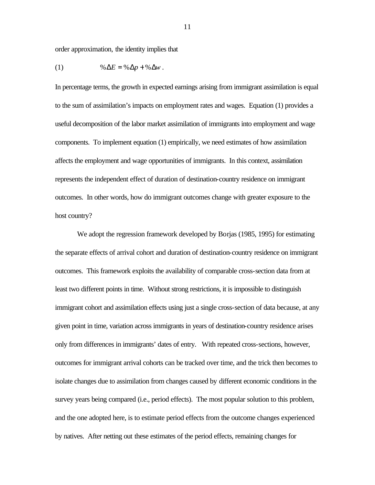order approximation, the identity implies that

$$
(1) \qquad \qquad \% \Delta E = \% \Delta p + \% \Delta w \ .
$$

In percentage terms, the growth in expected earnings arising from immigrant assimilation is equal to the sum of assimilation's impacts on employment rates and wages. Equation (1) provides a useful decomposition of the labor market assimilation of immigrants into employment and wage components. To implement equation (1) empirically, we need estimates of how assimilation affects the employment and wage opportunities of immigrants. In this context, assimilation represents the independent effect of duration of destination-country residence on immigrant outcomes. In other words, how do immigrant outcomes change with greater exposure to the host country?

We adopt the regression framework developed by Borjas (1985, 1995) for estimating the separate effects of arrival cohort and duration of destination-country residence on immigrant outcomes. This framework exploits the availability of comparable cross-section data from at least two different points in time. Without strong restrictions, it is impossible to distinguish immigrant cohort and assimilation effects using just a single cross-section of data because, at any given point in time, variation across immigrants in years of destination-country residence arises only from differences in immigrants' dates of entry. With repeated cross-sections, however, outcomes for immigrant arrival cohorts can be tracked over time, and the trick then becomes to isolate changes due to assimilation from changes caused by different economic conditions in the survey years being compared (i.e., period effects). The most popular solution to this problem, and the one adopted here, is to estimate period effects from the outcome changes experienced by natives. After netting out these estimates of the period effects, remaining changes for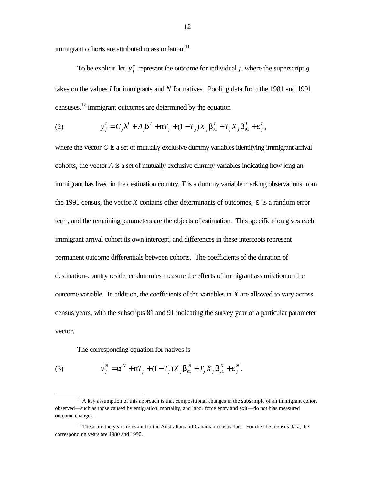immigrant cohorts are attributed to assimilation.<sup>11</sup>

To be explicit, let  $y_j^g$  represent the outcome for individual *j*, where the superscript *g* takes on the values *I* for immigrants and *N* for natives. Pooling data from the 1981 and 1991 censuses, $^{12}$  immigrant outcomes are determined by the equation

(2) 
$$
y'_{j} = C_{j}I^{T} + A_{j}d^{T} + pT_{j} + (1 - T_{j})X_{j}b_{81}^{T} + T_{j}X_{j}b_{91}^{T} + e_{j}^{T},
$$

where the vector  $C$  is a set of mutually exclusive dummy variables identifying immigrant arrival cohorts, the vector *A* is a set of mutually exclusive dummy variables indicating how long an immigrant has lived in the destination country, *T* is a dummy variable marking observations from the 1991 census, the vector *X* contains other determinants of outcomes, *e* is a random error term, and the remaining parameters are the objects of estimation. This specification gives each immigrant arrival cohort its own intercept, and differences in these intercepts represent permanent outcome differentials between cohorts. The coefficients of the duration of destination-country residence dummies measure the effects of immigrant assimilation on the outcome variable. In addition, the coefficients of the variables in *X* are allowed to vary across census years, with the subscripts 81 and 91 indicating the survey year of a particular parameter vector.

The corresponding equation for natives is

(3) 
$$
y_j^N = a^N + pT_j + (1 - T_j)X_j b_{81}^N + T_j X_j b_{91}^N + e_j^N,
$$

 $11$  A key assumption of this approach is that compositional changes in the subsample of an immigrant cohort observed—such as those caused by emigration, mortality, and labor force entry and exit—do not bias measured outcome changes.

 $12$  These are the years relevant for the Australian and Canadian census data. For the U.S. census data, the corresponding years are 1980 and 1990.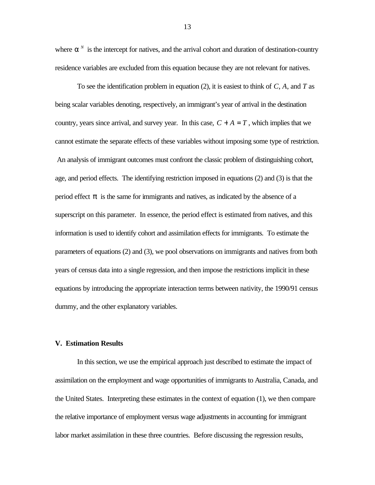where  $a^N$  is the intercept for natives, and the arrival cohort and duration of destination-country residence variables are excluded from this equation because they are not relevant for natives.

To see the identification problem in equation (2), it is easiest to think of *C*, *A*, and *T* as being scalar variables denoting, respectively, an immigrant's year of arrival in the destination country, years since arrival, and survey year. In this case,  $C + A = T$ , which implies that we cannot estimate the separate effects of these variables without imposing some type of restriction. An analysis of immigrant outcomes must confront the classic problem of distinguishing cohort, age, and period effects. The identifying restriction imposed in equations (2) and (3) is that the period effect *p* is the same for immigrants and natives, as indicated by the absence of a superscript on this parameter. In essence, the period effect is estimated from natives, and this information is used to identify cohort and assimilation effects for immigrants. To estimate the parameters of equations (2) and (3), we pool observations on immigrants and natives from both years of census data into a single regression, and then impose the restrictions implicit in these equations by introducing the appropriate interaction terms between nativity, the 1990/91 census dummy, and the other explanatory variables.

#### **V. Estimation Results**

In this section, we use the empirical approach just described to estimate the impact of assimilation on the employment and wage opportunities of immigrants to Australia, Canada, and the United States. Interpreting these estimates in the context of equation (1), we then compare the relative importance of employment versus wage adjustments in accounting for immigrant labor market assimilation in these three countries. Before discussing the regression results,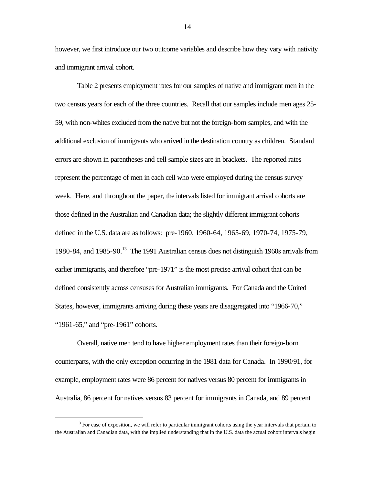however, we first introduce our two outcome variables and describe how they vary with nativity and immigrant arrival cohort.

Table 2 presents employment rates for our samples of native and immigrant men in the two census years for each of the three countries. Recall that our samples include men ages 25- 59, with non-whites excluded from the native but not the foreign-born samples, and with the additional exclusion of immigrants who arrived in the destination country as children. Standard errors are shown in parentheses and cell sample sizes are in brackets. The reported rates represent the percentage of men in each cell who were employed during the census survey week. Here, and throughout the paper, the intervals listed for immigrant arrival cohorts are those defined in the Australian and Canadian data; the slightly different immigrant cohorts defined in the U.S. data are as follows: pre-1960, 1960-64, 1965-69, 1970-74, 1975-79, 1980-84, and 1985-90.<sup>13</sup> The 1991 Australian census does not distinguish 1960s arrivals from earlier immigrants, and therefore "pre-1971" is the most precise arrival cohort that can be defined consistently across censuses for Australian immigrants. For Canada and the United States, however, immigrants arriving during these years are disaggregated into "1966-70," "1961-65," and "pre-1961" cohorts.

Overall, native men tend to have higher employment rates than their foreign-born counterparts, with the only exception occurring in the 1981 data for Canada. In 1990/91, for example, employment rates were 86 percent for natives versus 80 percent for immigrants in Australia, 86 percent for natives versus 83 percent for immigrants in Canada, and 89 percent

 $\overline{a}$ 

 $13$  For ease of exposition, we will refer to particular immigrant cohorts using the year intervals that pertain to the Australian and Canadian data, with the implied understanding that in the U.S. data the actual cohort intervals begin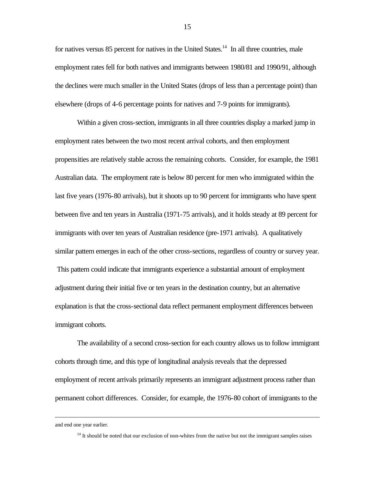for natives versus  $85$  percent for natives in the United States.<sup>14</sup> In all three countries, male employment rates fell for both natives and immigrants between 1980/81 and 1990/91, although the declines were much smaller in the United States (drops of less than a percentage point) than elsewhere (drops of 4-6 percentage points for natives and 7-9 points for immigrants).

Within a given cross-section, immigrants in all three countries display a marked jump in employment rates between the two most recent arrival cohorts, and then employment propensities are relatively stable across the remaining cohorts. Consider, for example, the 1981 Australian data. The employment rate is below 80 percent for men who immigrated within the last five years (1976-80 arrivals), but it shoots up to 90 percent for immigrants who have spent between five and ten years in Australia (1971-75 arrivals), and it holds steady at 89 percent for immigrants with over ten years of Australian residence (pre-1971 arrivals). A qualitatively similar pattern emerges in each of the other cross-sections, regardless of country or survey year. This pattern could indicate that immigrants experience a substantial amount of employment adjustment during their initial five or ten years in the destination country, but an alternative explanation is that the cross-sectional data reflect permanent employment differences between immigrant cohorts.

The availability of a second cross-section for each country allows us to follow immigrant cohorts through time, and this type of longitudinal analysis reveals that the depressed employment of recent arrivals primarily represents an immigrant adjustment process rather than permanent cohort differences. Consider, for example, the 1976-80 cohort of immigrants to the

 $\overline{a}$ 

and end one year earlier.

<sup>&</sup>lt;sup>14</sup> It should be noted that our exclusion of non-whites from the native but not the immigrant samples raises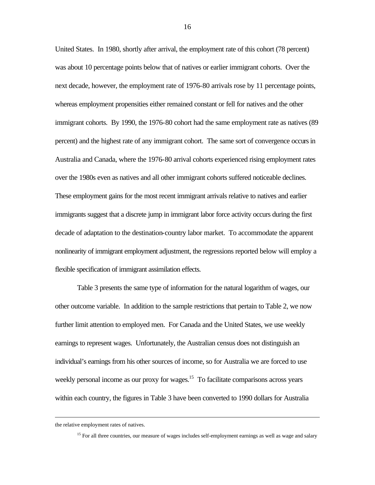United States. In 1980, shortly after arrival, the employment rate of this cohort (78 percent) was about 10 percentage points below that of natives or earlier immigrant cohorts. Over the next decade, however, the employment rate of 1976-80 arrivals rose by 11 percentage points, whereas employment propensities either remained constant or fell for natives and the other immigrant cohorts. By 1990, the 1976-80 cohort had the same employment rate as natives (89 percent) and the highest rate of any immigrant cohort. The same sort of convergence occurs in Australia and Canada, where the 1976-80 arrival cohorts experienced rising employment rates over the 1980s even as natives and all other immigrant cohorts suffered noticeable declines. These employment gains for the most recent immigrant arrivals relative to natives and earlier immigrants suggest that a discrete jump in immigrant labor force activity occurs during the first decade of adaptation to the destination-country labor market. To accommodate the apparent nonlinearity of immigrant employment adjustment, the regressions reported below will employ a flexible specification of immigrant assimilation effects.

Table 3 presents the same type of information for the natural logarithm of wages, our other outcome variable. In addition to the sample restrictions that pertain to Table 2, we now further limit attention to employed men. For Canada and the United States, we use weekly earnings to represent wages. Unfortunately, the Australian census does not distinguish an individual's earnings from his other sources of income, so for Australia we are forced to use weekly personal income as our proxy for wages.<sup>15</sup> To facilitate comparisons across years within each country, the figures in Table 3 have been converted to 1990 dollars for Australia

the relative employment rates of natives.

<sup>&</sup>lt;sup>15</sup> For all three countries, our measure of wages includes self-employment earnings as well as wage and salary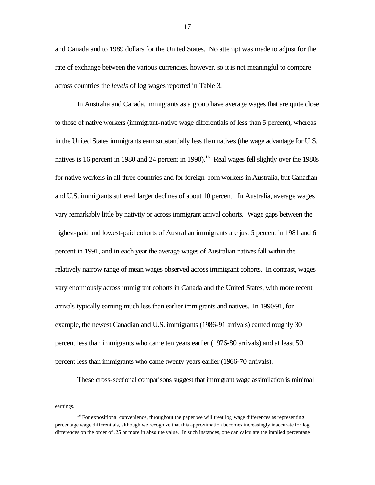and Canada and to 1989 dollars for the United States. No attempt was made to adjust for the rate of exchange between the various currencies, however, so it is not meaningful to compare across countries the *levels* of log wages reported in Table 3.

In Australia and Canada, immigrants as a group have average wages that are quite close to those of native workers (immigrant-native wage differentials of less than 5 percent), whereas in the United States immigrants earn substantially less than natives (the wage advantage for U.S. natives is 16 percent in 1980 and 24 percent in 1990).<sup>16</sup> Real wages fell slightly over the 1980s for native workers in all three countries and for foreign-born workers in Australia, but Canadian and U.S. immigrants suffered larger declines of about 10 percent. In Australia, average wages vary remarkably little by nativity or across immigrant arrival cohorts. Wage gaps between the highest-paid and lowest-paid cohorts of Australian immigrants are just 5 percent in 1981 and 6 percent in 1991, and in each year the average wages of Australian natives fall within the relatively narrow range of mean wages observed across immigrant cohorts. In contrast, wages vary enormously across immigrant cohorts in Canada and the United States, with more recent arrivals typically earning much less than earlier immigrants and natives. In 1990/91, for example, the newest Canadian and U.S. immigrants (1986-91 arrivals) earned roughly 30 percent less than immigrants who came ten years earlier (1976-80 arrivals) and at least 50 percent less than immigrants who came twenty years earlier (1966-70 arrivals).

These cross-sectional comparisons suggest that immigrant wage assimilation is minimal

earnings.

<sup>&</sup>lt;sup>16</sup> For expositional convenience, throughout the paper we will treat log wage differences as representing percentage wage differentials, although we recognize that this approximation becomes increasingly inaccurate for log differences on the order of .25 or more in absolute value. In such instances, one can calculate the implied percentage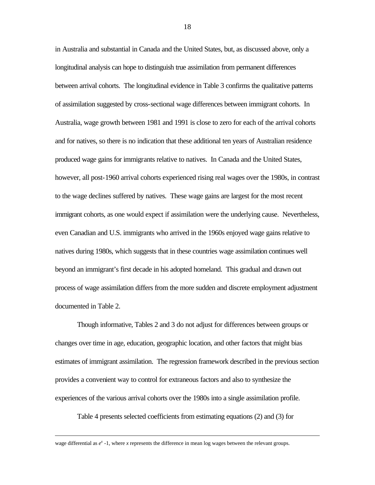in Australia and substantial in Canada and the United States, but, as discussed above, only a longitudinal analysis can hope to distinguish true assimilation from permanent differences between arrival cohorts. The longitudinal evidence in Table 3 confirms the qualitative patterns of assimilation suggested by cross-sectional wage differences between immigrant cohorts. In Australia, wage growth between 1981 and 1991 is close to zero for each of the arrival cohorts and for natives, so there is no indication that these additional ten years of Australian residence produced wage gains for immigrants relative to natives. In Canada and the United States, however, all post-1960 arrival cohorts experienced rising real wages over the 1980s, in contrast to the wage declines suffered by natives. These wage gains are largest for the most recent immigrant cohorts, as one would expect if assimilation were the underlying cause. Nevertheless, even Canadian and U.S. immigrants who arrived in the 1960s enjoyed wage gains relative to natives during 1980s, which suggests that in these countries wage assimilation continues well beyond an immigrant's first decade in his adopted homeland. This gradual and drawn out process of wage assimilation differs from the more sudden and discrete employment adjustment documented in Table 2.

Though informative, Tables 2 and 3 do not adjust for differences between groups or changes over time in age, education, geographic location, and other factors that might bias estimates of immigrant assimilation. The regression framework described in the previous section provides a convenient way to control for extraneous factors and also to synthesize the experiences of the various arrival cohorts over the 1980s into a single assimilation profile.

Table 4 presents selected coefficients from estimating equations (2) and (3) for

wage differential as  $e^x - 1$ , where *x* represents the difference in mean log wages between the relevant groups.

 $\overline{a}$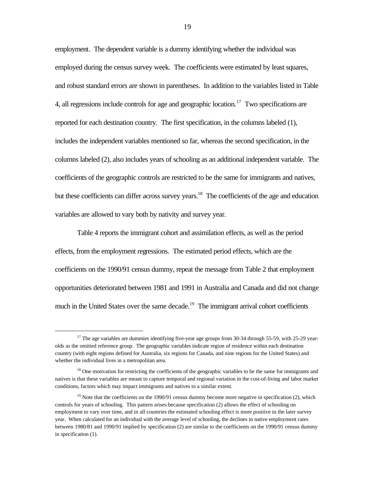employment. The dependent variable is a dummy identifying whether the individual was employed during the census survey week. The coefficients were estimated by least squares, and robust standard errors are shown in parentheses. In addition to the variables listed in Table 4, all regressions include controls for age and geographic location.<sup>17</sup> Two specifications are reported for each destination country. The first specification, in the columns labeled (1), includes the independent variables mentioned so far, whereas the second specification, in the columns labeled (2), also includes years of schooling as an additional independent variable. The coefficients of the geographic controls are restricted to be the same for immigrants and natives, but these coefficients can differ across survey years.<sup>18</sup> The coefficients of the age and education variables are allowed to vary both by nativity and survey year.

Table 4 reports the immigrant cohort and assimilation effects, as well as the period effects, from the employment regressions. The estimated period effects, which are the coefficients on the 1990/91 census dummy, repeat the message from Table 2 that employment opportunities deteriorated between 1981 and 1991 in Australia and Canada and did not change much in the United States over the same decade.<sup>19</sup> The immigrant arrival cohort coefficients

<sup>&</sup>lt;sup>17</sup> The age variables are dummies identifying five-year age groups from 30-34 through 55-59, with 25-29 yearolds as the omitted reference group. The geographic variables indicate region of residence within each destination country (with eight regions defined for Australia, six regions for Canada, and nine regions for the United States) and whether the individual lives in a metropolitan area.

<sup>&</sup>lt;sup>18</sup> One motivation for restricting the coefficients of the geographic variables to be the same for immigrants and natives is that these variables are meant to capture temporal and regional variation in the cost-of-living and labor market conditions, factors which may impact immigrants and natives to a similar extent.

<sup>&</sup>lt;sup>19</sup> Note that the coefficients on the 1990/91 census dummy become more negative in specification (2), which controls for years of schooling. This pattern arises because specification (2) allows the effect of schooling on employment to vary over time, and in all countries the estimated schooling effect is more positive in the later survey year. When calculated for an individual with the average level of schooling, the declines in native employment rates between 1980/81 and 1990/91 implied by specification (2) are similar to the coefficients on the 1990/91 census dummy in specification (1).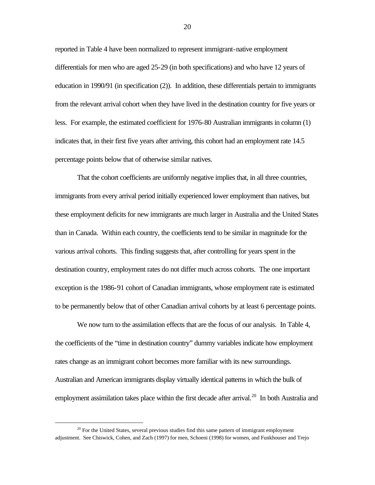reported in Table 4 have been normalized to represent immigrant-native employment differentials for men who are aged 25-29 (in both specifications) and who have 12 years of education in 1990/91 (in specification (2)). In addition, these differentials pertain to immigrants from the relevant arrival cohort when they have lived in the destination country for five years or less. For example, the estimated coefficient for 1976-80 Australian immigrants in column (1) indicates that, in their first five years after arriving, this cohort had an employment rate 14.5 percentage points below that of otherwise similar natives.

That the cohort coefficients are uniformly negative implies that, in all three countries, immigrants from every arrival period initially experienced lower employment than natives, but these employment deficits for new immigrants are much larger in Australia and the United States than in Canada. Within each country, the coefficients tend to be similar in magnitude for the various arrival cohorts. This finding suggests that, after controlling for years spent in the destination country, employment rates do not differ much across cohorts. The one important exception is the 1986-91 cohort of Canadian immigrants, whose employment rate is estimated to be permanently below that of other Canadian arrival cohorts by at least 6 percentage points.

We now turn to the assimilation effects that are the focus of our analysis. In Table 4, the coefficients of the "time in destination country" dummy variables indicate how employment rates change as an immigrant cohort becomes more familiar with its new surroundings. Australian and American immigrants display virtually identical patterns in which the bulk of employment assimilation takes place within the first decade after arrival.<sup>20</sup> In both Australia and

 $20$  For the United States, several previous studies find this same pattern of immigrant employment adjustment. See Chiswick, Cohen, and Zach (1997) for men, Schoeni (1998) for women, and Funkhouser and Trejo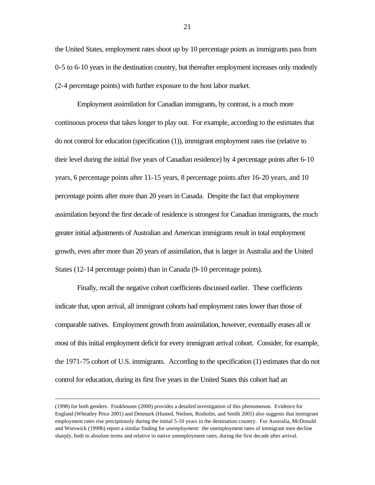the United States, employment rates shoot up by 10 percentage points as immigrants pass from 0-5 to 6-10 years in the destination country, but thereafter employment increases only modestly (2-4 percentage points) with further exposure to the host labor market.

Employment assimilation for Canadian immigrants, by contrast, is a much more continuous process that takes longer to play out. For example, according to the estimates that do not control for education (specification (1)), immigrant employment rates rise (relative to their level during the initial five years of Canadian residence) by 4 percentage points after 6-10 years, 6 percentage points after 11-15 years, 8 percentage points after 16-20 years, and 10 percentage points after more than 20 years in Canada. Despite the fact that employment assimilation beyond the first decade of residence is strongest for Canadian immigrants, the much greater initial adjustments of Australian and American immigrants result in total employment growth, even after more than 20 years of assimilation, that is larger in Australia and the United States (12-14 percentage points) than in Canada (9-10 percentage points).

Finally, recall the negative cohort coefficients discussed earlier. These coefficients indicate that, upon arrival, all immigrant cohorts had employment rates lower than those of comparable natives. Employment growth from assimilation, however, eventually erases all or most of this initial employment deficit for every immigrant arrival cohort. Consider, for example, the 1971-75 cohort of U.S. immigrants. According to the specification (1) estimates that do not control for education, during its first five years in the United States this cohort had an

<sup>(1998)</sup> for both genders. Funkhouser (2000) provides a detailed investigation of this phenomenon. Evidence for England (Wheatley Price 2001) and Denmark (Husted, Nielsen, Rosholm, and Smith 2001) also suggests that immigrant employment rates rise precipitously during the initial 5-10 years in the destination country. For Australia, McDonald and Worswick (1999b) report a similar finding for *unemployment*: the unemployment rates of immigrant men decline sharply, both in absolute terms and relative to native unemployment rates, during the first decade after arrival.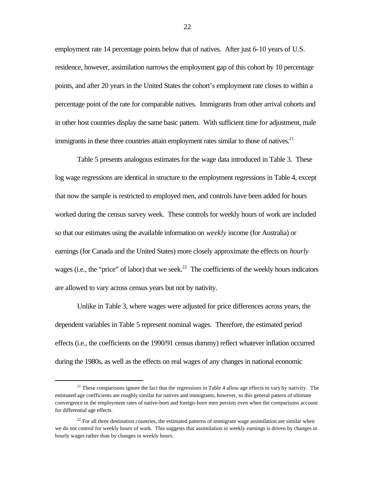employment rate 14 percentage points below that of natives. After just 6-10 years of U.S. residence, however, assimilation narrows the employment gap of this cohort by 10 percentage points, and after 20 years in the United States the cohort's employment rate closes to within a percentage point of the rate for comparable natives. Immigrants from other arrival cohorts and in other host countries display the same basic pattern. With sufficient time for adjustment, male immigrants in these three countries attain employment rates similar to those of natives.<sup>21</sup>

Table 5 presents analogous estimates for the wage data introduced in Table 3. These log wage regressions are identical in structure to the employment regressions in Table 4, except that now the sample is restricted to employed men, and controls have been added for hours worked during the census survey week. These controls for weekly hours of work are included so that our estimates using the available information on *weekly* income (for Australia) or earnings (for Canada and the United States) more closely approximate the effects on *hourly* wages (i.e., the "price" of labor) that we seek.<sup>22</sup> The coefficients of the weekly hours indicators are allowed to vary across census years but not by nativity.

Unlike in Table 3, where wages were adjusted for price differences across years, the dependent variables in Table 5 represent nominal wages. Therefore, the estimated period effects (i.e., the coefficients on the 1990/91 census dummy) reflect whatever inflation occurred during the 1980s, as well as the effects on real wages of any changes in national economic

 $21$  These comparisons ignore the fact that the regressions in Table 4 allow age effects to vary by nativity. The estimated age coefficients are roughly similar for natives and immigrants, however, so this general pattern of ultimate convergence in the employment rates of native-born and foreign-born men persists even when the comparisons account for differential age effects.

 $22$  For all three destination countries, the estimated patterns of immigrant wage assimilation are similar when we do not control for weekly hours of work. This suggests that assimilation in weekly earnings is driven by changes in hourly wages rather than by changes in weekly hours.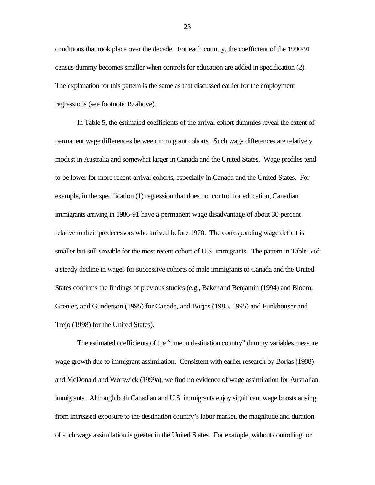conditions that took place over the decade. For each country, the coefficient of the 1990/91 census dummy becomes smaller when controls for education are added in specification (2). The explanation for this pattern is the same as that discussed earlier for the employment regressions (see footnote 19 above).

In Table 5, the estimated coefficients of the arrival cohort dummies reveal the extent of permanent wage differences between immigrant cohorts. Such wage differences are relatively modest in Australia and somewhat larger in Canada and the United States. Wage profiles tend to be lower for more recent arrival cohorts, especially in Canada and the United States. For example, in the specification (1) regression that does not control for education, Canadian immigrants arriving in 1986-91 have a permanent wage disadvantage of about 30 percent relative to their predecessors who arrived before 1970. The corresponding wage deficit is smaller but still sizeable for the most recent cohort of U.S. immigrants. The pattern in Table 5 of a steady decline in wages for successive cohorts of male immigrants to Canada and the United States confirms the findings of previous studies (e.g., Baker and Benjamin (1994) and Bloom, Grenier, and Gunderson (1995) for Canada, and Borjas (1985, 1995) and Funkhouser and Trejo (1998) for the United States).

The estimated coefficients of the "time in destination country" dummy variables measure wage growth due to immigrant assimilation. Consistent with earlier research by Borjas (1988) and McDonald and Worswick (1999a), we find no evidence of wage assimilation for Australian immigrants. Although both Canadian and U.S. immigrants enjoy significant wage boosts arising from increased exposure to the destination country's labor market, the magnitude and duration of such wage assimilation is greater in the United States. For example, without controlling for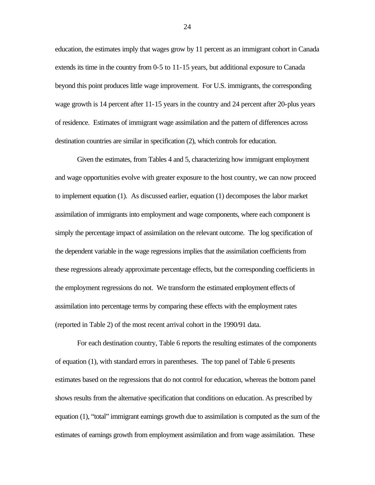education, the estimates imply that wages grow by 11 percent as an immigrant cohort in Canada extends its time in the country from 0-5 to 11-15 years, but additional exposure to Canada beyond this point produces little wage improvement. For U.S. immigrants, the corresponding wage growth is 14 percent after 11-15 years in the country and 24 percent after 20-plus years of residence. Estimates of immigrant wage assimilation and the pattern of differences across destination countries are similar in specification (2), which controls for education.

Given the estimates, from Tables 4 and 5, characterizing how immigrant employment and wage opportunities evolve with greater exposure to the host country, we can now proceed to implement equation (1). As discussed earlier, equation (1) decomposes the labor market assimilation of immigrants into employment and wage components, where each component is simply the percentage impact of assimilation on the relevant outcome. The log specification of the dependent variable in the wage regressions implies that the assimilation coefficients from these regressions already approximate percentage effects, but the corresponding coefficients in the employment regressions do not. We transform the estimated employment effects of assimilation into percentage terms by comparing these effects with the employment rates (reported in Table 2) of the most recent arrival cohort in the 1990/91 data.

For each destination country, Table 6 reports the resulting estimates of the components of equation (1), with standard errors in parentheses. The top panel of Table 6 presents estimates based on the regressions that do not control for education, whereas the bottom panel shows results from the alternative specification that conditions on education. As prescribed by equation (1), "total" immigrant earnings growth due to assimilation is computed as the sum of the estimates of earnings growth from employment assimilation and from wage assimilation. These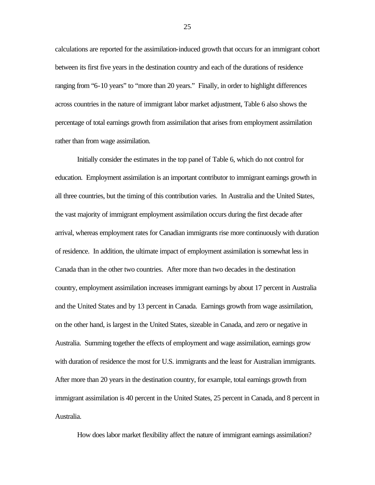calculations are reported for the assimilation-induced growth that occurs for an immigrant cohort between its first five years in the destination country and each of the durations of residence ranging from "6-10 years" to "more than 20 years." Finally, in order to highlight differences across countries in the nature of immigrant labor market adjustment, Table 6 also shows the percentage of total earnings growth from assimilation that arises from employment assimilation rather than from wage assimilation.

Initially consider the estimates in the top panel of Table 6, which do not control for education. Employment assimilation is an important contributor to immigrant earnings growth in all three countries, but the timing of this contribution varies. In Australia and the United States, the vast majority of immigrant employment assimilation occurs during the first decade after arrival, whereas employment rates for Canadian immigrants rise more continuously with duration of residence. In addition, the ultimate impact of employment assimilation is somewhat less in Canada than in the other two countries. After more than two decades in the destination country, employment assimilation increases immigrant earnings by about 17 percent in Australia and the United States and by 13 percent in Canada. Earnings growth from wage assimilation, on the other hand, is largest in the United States, sizeable in Canada, and zero or negative in Australia. Summing together the effects of employment and wage assimilation, earnings grow with duration of residence the most for U.S. immigrants and the least for Australian immigrants. After more than 20 years in the destination country, for example, total earnings growth from immigrant assimilation is 40 percent in the United States, 25 percent in Canada, and 8 percent in Australia.

How does labor market flexibility affect the nature of immigrant earnings assimilation?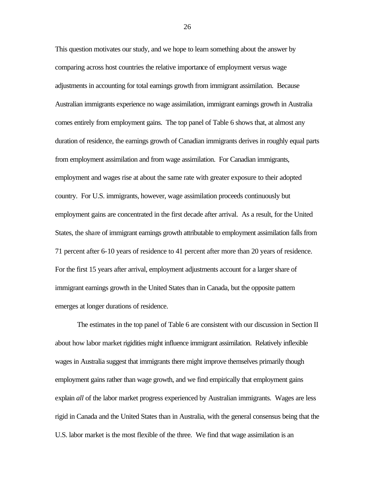This question motivates our study, and we hope to learn something about the answer by comparing across host countries the relative importance of employment versus wage adjustments in accounting for total earnings growth from immigrant assimilation. Because Australian immigrants experience no wage assimilation, immigrant earnings growth in Australia comes entirely from employment gains. The top panel of Table 6 shows that, at almost any duration of residence, the earnings growth of Canadian immigrants derives in roughly equal parts from employment assimilation and from wage assimilation. For Canadian immigrants, employment and wages rise at about the same rate with greater exposure to their adopted country. For U.S. immigrants, however, wage assimilation proceeds continuously but employment gains are concentrated in the first decade after arrival. As a result, for the United States, the share of immigrant earnings growth attributable to employment assimilation falls from 71 percent after 6-10 years of residence to 41 percent after more than 20 years of residence. For the first 15 years after arrival, employment adjustments account for a larger share of immigrant earnings growth in the United States than in Canada, but the opposite pattern emerges at longer durations of residence.

The estimates in the top panel of Table 6 are consistent with our discussion in Section II about how labor market rigidities might influence immigrant assimilation. Relatively inflexible wages in Australia suggest that immigrants there might improve themselves primarily though employment gains rather than wage growth, and we find empirically that employment gains explain *all* of the labor market progress experienced by Australian immigrants. Wages are less rigid in Canada and the United States than in Australia, with the general consensus being that the U.S. labor market is the most flexible of the three. We find that wage assimilation is an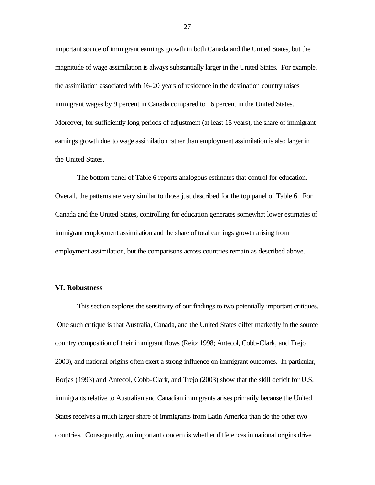important source of immigrant earnings growth in both Canada and the United States, but the magnitude of wage assimilation is always substantially larger in the United States. For example, the assimilation associated with 16-20 years of residence in the destination country raises immigrant wages by 9 percent in Canada compared to 16 percent in the United States. Moreover, for sufficiently long periods of adjustment (at least 15 years), the share of immigrant earnings growth due to wage assimilation rather than employment assimilation is also larger in the United States.

The bottom panel of Table 6 reports analogous estimates that control for education. Overall, the patterns are very similar to those just described for the top panel of Table 6. For Canada and the United States, controlling for education generates somewhat lower estimates of immigrant employment assimilation and the share of total earnings growth arising from employment assimilation, but the comparisons across countries remain as described above.

#### **VI. Robustness**

This section explores the sensitivity of our findings to two potentially important critiques. One such critique is that Australia, Canada, and the United States differ markedly in the source country composition of their immigrant flows (Reitz 1998; Antecol, Cobb-Clark, and Trejo 2003), and national origins often exert a strong influence on immigrant outcomes. In particular, Borjas (1993) and Antecol, Cobb-Clark, and Trejo (2003) show that the skill deficit for U.S. immigrants relative to Australian and Canadian immigrants arises primarily because the United States receives a much larger share of immigrants from Latin America than do the other two countries. Consequently, an important concern is whether differences in national origins drive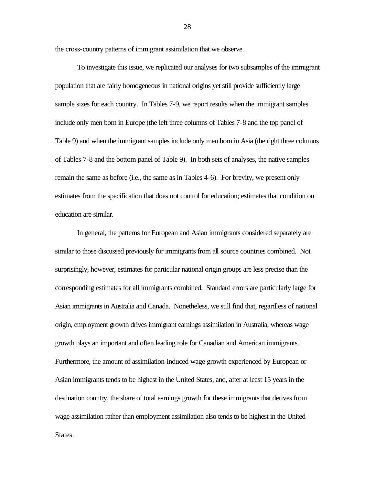the cross-country patterns of immigrant assimilation that we observe.

To investigate this issue, we replicated our analyses for two subsamples of the immigrant population that are fairly homogeneous in national origins yet still provide sufficiently large sample sizes for each country. In Tables 7-9, we report results when the immigrant samples include only men born in Europe (the left three columns of Tables 7-8 and the top panel of Table 9) and when the immigrant samples include only men born in Asia (the right three columns of Tables 7-8 and the bottom panel of Table 9). In both sets of analyses, the native samples remain the same as before (i.e., the same as in Tables 4-6). For brevity, we present only estimates from the specification that does not control for education; estimates that condition on education are similar.

In general, the patterns for European and Asian immigrants considered separately are similar to those discussed previously for immigrants from all source countries combined. Not surprisingly, however, estimates for particular national origin groups are less precise than the corresponding estimates for all immigrants combined. Standard errors are particularly large for Asian immigrants in Australia and Canada. Nonetheless, we still find that, regardless of national origin, employment growth drives immigrant earnings assimilation in Australia, whereas wage growth plays an important and often leading role for Canadian and American immigrants. Furthermore, the amount of assimilation-induced wage growth experienced by European or Asian immigrants tends to be highest in the United States, and, after at least 15 years in the destination country, the share of total earnings growth for these immigrants that derives from wage assimilation rather than employment assimilation also tends to be highest in the United States.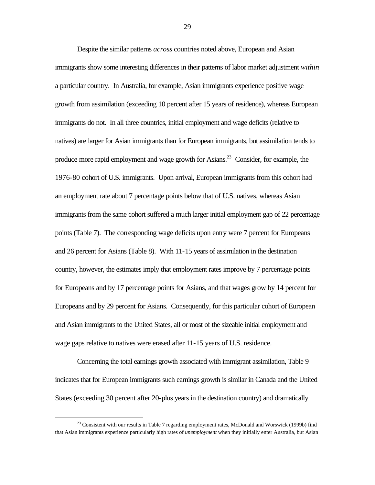Despite the similar patterns *across* countries noted above, European and Asian immigrants show some interesting differences in their patterns of labor market adjustment *within* a particular country. In Australia, for example, Asian immigrants experience positive wage growth from assimilation (exceeding 10 percent after 15 years of residence), whereas European immigrants do not. In all three countries, initial employment and wage deficits (relative to natives) are larger for Asian immigrants than for European immigrants, but assimilation tends to produce more rapid employment and wage growth for Asians.<sup>23</sup> Consider, for example, the 1976-80 cohort of U.S. immigrants. Upon arrival, European immigrants from this cohort had an employment rate about 7 percentage points below that of U.S. natives, whereas Asian immigrants from the same cohort suffered a much larger initial employment gap of 22 percentage points (Table 7). The corresponding wage deficits upon entry were 7 percent for Europeans and 26 percent for Asians (Table 8). With 11-15 years of assimilation in the destination country, however, the estimates imply that employment rates improve by 7 percentage points for Europeans and by 17 percentage points for Asians, and that wages grow by 14 percent for Europeans and by 29 percent for Asians. Consequently, for this particular cohort of European and Asian immigrants to the United States, all or most of the sizeable initial employment and wage gaps relative to natives were erased after 11-15 years of U.S. residence.

Concerning the total earnings growth associated with immigrant assimilation, Table 9 indicates that for European immigrants such earnings growth is similar in Canada and the United States (exceeding 30 percent after 20-plus years in the destination country) and dramatically

 $\overline{a}$ 

<sup>&</sup>lt;sup>23</sup> Consistent with our results in Table 7 regarding employment rates, McDonald and Worswick (1999b) find that Asian immigrants experience particularly high rates of *unemployment* when they initially enter Australia, but Asian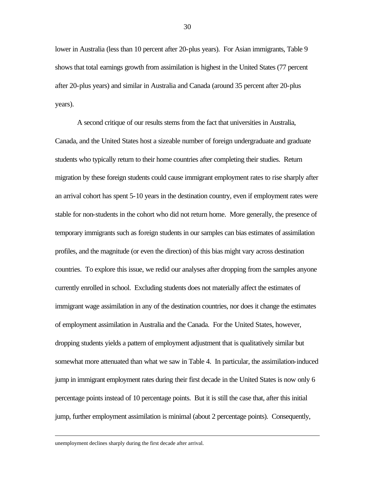lower in Australia (less than 10 percent after 20-plus years). For Asian immigrants, Table 9 shows that total earnings growth from assimilation is highest in the United States (77 percent after 20-plus years) and similar in Australia and Canada (around 35 percent after 20-plus years).

A second critique of our results stems from the fact that universities in Australia, Canada, and the United States host a sizeable number of foreign undergraduate and graduate students who typically return to their home countries after completing their studies. Return migration by these foreign students could cause immigrant employment rates to rise sharply after an arrival cohort has spent 5-10 years in the destination country, even if employment rates were stable for non-students in the cohort who did not return home. More generally, the presence of temporary immigrants such as foreign students in our samples can bias estimates of assimilation profiles, and the magnitude (or even the direction) of this bias might vary across destination countries. To explore this issue, we redid our analyses after dropping from the samples anyone currently enrolled in school. Excluding students does not materially affect the estimates of immigrant wage assimilation in any of the destination countries, nor does it change the estimates of employment assimilation in Australia and the Canada. For the United States, however, dropping students yields a pattern of employment adjustment that is qualitatively similar but somewhat more attenuated than what we saw in Table 4. In particular, the assimilation-induced jump in immigrant employment rates during their first decade in the United States is now only 6 percentage points instead of 10 percentage points. But it is still the case that, after this initial jump, further employment assimilation is minimal (about 2 percentage points). Consequently,

unemployment declines sharply during the first decade after arrival.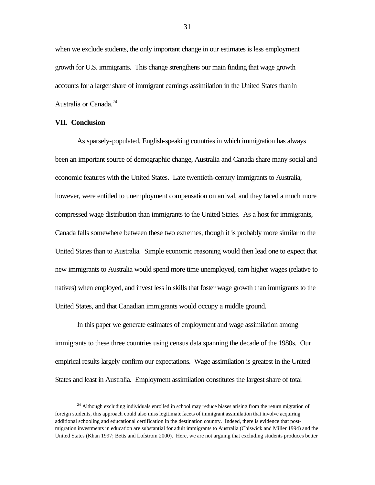when we exclude students, the only important change in our estimates is less employment growth for U.S. immigrants. This change strengthens our main finding that wage growth accounts for a larger share of immigrant earnings assimilation in the United States than in Australia or Canada.<sup>24</sup>

#### **VII. Conclusion**

 $\overline{a}$ 

As sparsely-populated, English-speaking countries in which immigration has always been an important source of demographic change, Australia and Canada share many social and economic features with the United States. Late twentieth-century immigrants to Australia, however, were entitled to unemployment compensation on arrival, and they faced a much more compressed wage distribution than immigrants to the United States. As a host for immigrants, Canada falls somewhere between these two extremes, though it is probably more similar to the United States than to Australia. Simple economic reasoning would then lead one to expect that new immigrants to Australia would spend more time unemployed, earn higher wages (relative to natives) when employed, and invest less in skills that foster wage growth than immigrants to the United States, and that Canadian immigrants would occupy a middle ground.

In this paper we generate estimates of employment and wage assimilation among immigrants to these three countries using census data spanning the decade of the 1980s. Our empirical results largely confirm our expectations. Wage assimilation is greatest in the United States and least in Australia. Employment assimilation constitutes the largest share of total

<sup>&</sup>lt;sup>24</sup> Although excluding individuals enrolled in school may reduce biases arising from the return migration of foreign students, this approach could also miss legitimate facets of immigrant assimilation that involve acquiring additional schooling and educational certification in the destination country. Indeed, there is evidence that postmigration investments in education are substantial for adult immigrants to Australia (Chiswick and Miller 1994) and the United States (Khan 1997; Betts and Lofstrom 2000). Here, we are not arguing that excluding students produces better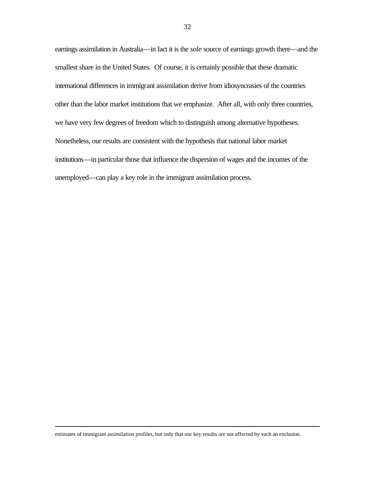earnings assimilation in Australia—in fact it is the *sole* source of earnings growth there—and the smallest share in the United States. Of course, it is certainly possible that these dramatic international differences in immigrant assimilation derive from idiosyncrasies of the countries other than the labor market institutions that we emphasize. After all, with only three countries, we have very few degrees of freedom which to distinguish among alternative hypotheses. Nonetheless, our results are consistent with the hypothesis that national labor market institutions—in particular those that influence the dispersion of wages and the incomes of the unemployed—can play a key role in the immigrant assimilation process.

estimates of immigrant assimilation profiles, but only that our key results are not affected by such an exclusion.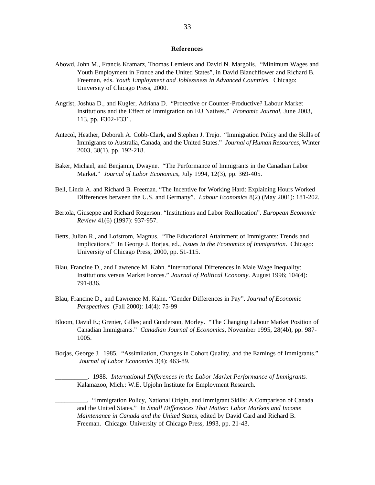#### **References**

- Abowd, John M., Francis Kramarz, Thomas Lemieux and David N. Margolis. "Minimum Wages and Youth Employment in France and the United States", in David Blanchflower and Richard B. Freeman, eds. *Youth Employment and Joblessness in Advanced Countries*. Chicago: University of Chicago Press, 2000.
- Angrist, Joshua D., and Kugler, Adriana D. "Protective or Counter-Productive? Labour Market Institutions and the Effect of Immigration on EU Natives." *Economic Journal*, June 2003, 113, pp. F302-F331.
- Antecol, Heather, Deborah A. Cobb-Clark, and Stephen J. Trejo. "Immigration Policy and the Skills of Immigrants to Australia, Canada, and the United States." *Journal of Human Resources*, Winter 2003, 38(1), pp. 192-218.
- Baker, Michael, and Benjamin, Dwayne. "The Performance of Immigrants in the Canadian Labor Market." *Journal of Labor Economics*, July 1994, 12(3), pp. 369-405.
- Bell, Linda A. and Richard B. Freeman. "The Incentive for Working Hard: Explaining Hours Worked Differences between the U.S. and Germany". *Labour Economics* 8(2) (May 2001): 181-202.
- Bertola, Giuseppe and Richard Rogerson. "Institutions and Labor Reallocation". *European Economic Review* 41(6) (1997): 937-957.
- Betts, Julian R., and Lofstrom, Magnus. "The Educational Attainment of Immigrants: Trends and Implications." In George J. Borjas, ed., *Issues in the Economics of Immigration*. Chicago: University of Chicago Press, 2000, pp. 51-115.
- Blau, Francine D., and Lawrence M. Kahn. "International Differences in Male Wage Inequality: Institutions versus Market Forces." *Journal of Political Economy*. August 1996; 104(4): 791-836.
- Blau, Francine D., and Lawrence M. Kahn. "Gender Differences in Pay". *Journal of Economic Perspectives* (Fall 2000): 14(4): 75-99
- Bloom, David E.; Grenier, Gilles; and Gunderson, Morley. "The Changing Labour Market Position of Canadian Immigrants." *Canadian Journal of Economics*, November 1995, 28(4b), pp. 987- 1005.
- Borjas, George J. 1985. "Assimilation, Changes in Cohort Quality, and the Earnings of Immigrants." *Journal of Labor Economics* 3(4): 463-89.

\_\_\_\_\_\_\_\_\_\_. 1988. *International Differences in the Labor Market Performance of Immigrants*. Kalamazoo, Mich.: W.E. Upjohn Institute for Employment Research.

\_\_\_\_\_\_\_\_\_\_. "Immigration Policy, National Origin, and Immigrant Skills: A Comparison of Canada and the United States." In *Small Differences That Matter: Labor Markets and Income Maintenance in Canada and the United States*, edited by David Card and Richard B. Freeman. Chicago: University of Chicago Press, 1993, pp. 21-43.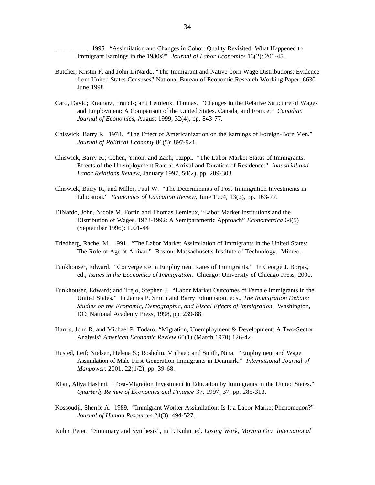\_\_\_\_\_\_\_\_\_\_. 1995. "Assimilation and Changes in Cohort Quality Revisited: What Happened to Immigrant Earnings in the 1980s?" *Journal of Labor Economics* 13(2): 201-45.

- Butcher, Kristin F. and John DiNardo. "The Immigrant and Native-born Wage Distributions: Evidence from United States Censuses" National Bureau of Economic Research Working Paper: 6630 June 1998
- Card, David; Kramarz, Francis; and Lemieux, Thomas. "Changes in the Relative Structure of Wages and Employment: A Comparison of the United States, Canada, and France." *Canadian Journal of Economics*, August 1999, 32(4), pp. 843-77.
- Chiswick, Barry R. 1978. "The Effect of Americanization on the Earnings of Foreign-Born Men." *Journal of Political Economy* 86(5): 897-921.
- Chiswick, Barry R.; Cohen, Yinon; and Zach, Tzippi. "The Labor Market Status of Immigrants: Effects of the Unemployment Rate at Arrival and Duration of Residence." *Industrial and Labor Relations Review*, January 1997, 50(2), pp. 289-303.
- Chiswick, Barry R., and Miller, Paul W. "The Determinants of Post-Immigration Investments in Education." *Economics of Education Review*, June 1994, 13(2), pp. 163-77.
- DiNardo, John, Nicole M. Fortin and Thomas Lemieux, "Labor Market Institutions and the Distribution of Wages, 1973-1992: A Semiparametric Approach" *Econometrica* 64(5) (September 1996): 1001-44
- Friedberg, Rachel M. 1991. "The Labor Market Assimilation of Immigrants in the United States: The Role of Age at Arrival." Boston: Massachusetts Institute of Technology. Mimeo.
- Funkhouser, Edward. "Convergence in Employment Rates of Immigrants." In George J. Borjas, ed., *Issues in the Economics of Immigration*. Chicago: University of Chicago Press, 2000.
- Funkhouser, Edward; and Trejo, Stephen J. "Labor Market Outcomes of Female Immigrants in the United States." In James P. Smith and Barry Edmonston, eds., *The Immigration Debate: Studies on the Economic, Demographic, and Fiscal Effects of Immigration*. Washington, DC: National Academy Press, 1998, pp. 239-88.
- Harris, John R. and Michael P. Todaro. "Migration, Unemployment & Development: A Two-Sector Analysis" *American Economic Review* 60(1) (March 1970) 126-42.
- Husted, Leif; Nielsen, Helena S.; Rosholm, Michael; and Smith, Nina. "Employment and Wage Assimilation of Male First-Generation Immigrants in Denmark." *International Journal of Manpower*, 2001, 22(1/2), pp. 39-68.
- Khan, Aliya Hashmi. "Post-Migration Investment in Education by Immigrants in the United States." *Quarterly Review of Economics and Finance* 37, 1997, 37, pp. 285-313.
- Kossoudji, Sherrie A. 1989. "Immigrant Worker Assimilation: Is It a Labor Market Phenomenon?" *Journal of Human Resources* 24(3): 494-527.

Kuhn, Peter. "Summary and Synthesis", in P. Kuhn, ed. *Losing Work, Moving On: International*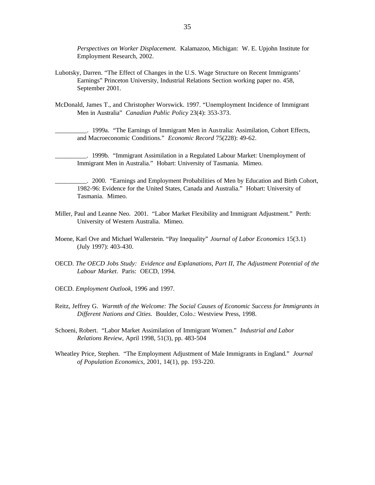*Perspectives on Worker Displacement*. Kalamazoo, Michigan: W. E. Upjohn Institute for Employment Research, 2002.

- Lubotsky, Darren. "The Effect of Changes in the U.S. Wage Structure on Recent Immigrants' Earnings" Princeton University, Industrial Relations Section working paper no. 458, September 2001.
- McDonald, James T., and Christopher Worswick. 1997. "Unemployment Incidence of Immigrant Men in Australia" *Canadian Public Policy* 23(4): 353-373.

\_\_\_\_\_\_\_\_\_\_. 1999a. "The Earnings of Immigrant Men in Australia: Assimilation, Cohort Effects, and Macroeconomic Conditions." *Economic Record* 75(228): 49-62.

\_\_\_\_\_\_\_\_\_\_. 1999b. "Immigrant Assimilation in a Regulated Labour Market: Unemployment of Immigrant Men in Australia." Hobart: University of Tasmania. Mimeo.

- \_\_\_\_\_\_\_\_\_\_. 2000. "Earnings and Employment Probabilities of Men by Education and Birth Cohort, 1982-96: Evidence for the United States, Canada and Australia." Hobart: University of Tasmania. Mimeo.
- Miller, Paul and Leanne Neo. 2001. "Labor Market Flexibility and Immigrant Adjustment." Perth: University of Western Australia. Mimeo.
- Moene, Karl Ove and Michael Wallerstein. "Pay Inequality" *Journal of Labor Economics* 15(3.1) (July 1997): 403-430.
- OECD. *The OECD Jobs Study: Evidence and Explanations, Part II, The Adjustment Potential of the Labour Market*. Paris: OECD, 1994.
- OECD. *Employment Outlook,* 1996 and 1997*.*
- Reitz, Jeffrey G. *Warmth of the Welcome: The Social Causes of Economic Success for Immigrants in Different Nations and Cities*. Boulder, Colo.: Westview Press, 1998.
- Schoeni, Robert. "Labor Market Assimilation of Immigrant Women." *Industrial and Labor Relations Review*, April 1998, 51(3), pp. 483-504
- Wheatley Price, Stephen. "The Employment Adjustment of Male Immigrants in England." *Journal of Population Economics*, 2001, 14(1), pp. 193-220.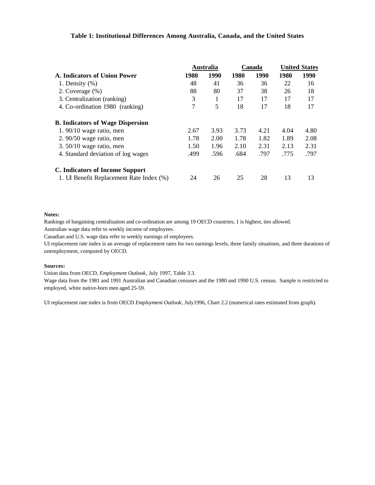#### **Table 1: Institutional Differences Among Australia, Canada, and the United States**

|                                          |      | Australia |      | Canada | <b>United States</b> |      |
|------------------------------------------|------|-----------|------|--------|----------------------|------|
| A. Indicators of Union Power             | 1980 | 1990      | 1980 | 1990   | 1980                 | 1990 |
| 1. Density $(\% )$                       | 48   | 41        | 36   | 36     | 22                   | 16   |
| 2. Coverage $(\%)$                       | 88   | 80        | 37   | 38     | 26                   | 18   |
| 3. Centralization (ranking)              | 3    | 1         | 17   | 17     | 17                   | 17   |
| 4. Co-ordination 1980 (ranking)          | 7    | 5         | 18   | 17     | 18                   | 17   |
| <b>B.</b> Indicators of Wage Dispersion  |      |           |      |        |                      |      |
| $1.90/10$ wage ratio, men                | 2.67 | 3.93      | 3.73 | 4.21   | 4.04                 | 4.80 |
| $2.90/50$ wage ratio, men                | 1.78 | 2.00      | 1.78 | 1.82   | 1.89                 | 2.08 |
| 3. $50/10$ wage ratio, men               | 1.50 | 1.96      | 2.10 | 2.31   | 2.13                 | 2.31 |
| 4. Standard deviation of log wages       | .499 | .596      | .684 | .797   | .775                 | .797 |
| C. Indicators of Income Support          |      |           |      |        |                      |      |
| 1. UI Benefit Replacement Rate Index (%) | 24   | 26        | 25   | 28     | 13                   | 13   |

#### **Notes:**

Rankings of bargaining centralization and co-ordination are among 19 OECD countries; 1 is highest, ties allowed. Australian wage data refer to weekly income of employees.

Canadian and U.S. wage data refer to weekly earnings of employees.

UI replacement rate index is an average of replacement rates for two earnings levels, three family situations, and three durations of unemployment, computed by OECD.

#### **Sources:**

Union data from OECD, *Employment Outlook*, July 1997, Table 3.3.

Wage data from the 1981 and 1991 Australian and Canadian censuses and the 1980 and 1990 U.S. census. Sample is restricted to employed, white native-born men aged 25-59.

UI replacement rate index is from OECD *Employment Outlook*, July1996, Chart 2.2 (numerical rates estimated from graph).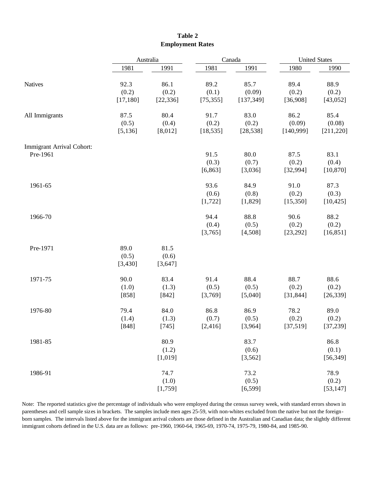|                                       |                            | Australia                  |                            | Canada                       |                             | <b>United States</b>         |  |
|---------------------------------------|----------------------------|----------------------------|----------------------------|------------------------------|-----------------------------|------------------------------|--|
|                                       | 1981                       | 1991                       | 1981                       | 1991                         | 1980                        | 1990                         |  |
| <b>Natives</b>                        | 92.3<br>(0.2)<br>[17, 180] | 86.1<br>(0.2)<br>[22, 336] | 89.2<br>(0.1)<br>[75, 355] | 85.7<br>(0.09)<br>[137, 349] | 89.4<br>(0.2)<br>[36,908]   | 88.9<br>(0.2)<br>[43,052]    |  |
| All Immigrants                        | 87.5<br>(0.5)<br>[5, 136]  | 80.4<br>(0.4)<br>[8,012]   | 91.7<br>(0.2)<br>[18, 535] | 83.0<br>(0.2)<br>[28, 538]   | 86.2<br>(0.09)<br>[140,999] | 85.4<br>(0.08)<br>[211, 220] |  |
| Immigrant Arrival Cohort:<br>Pre-1961 |                            |                            | 91.5<br>(0.3)<br>[6, 863]  | 80.0<br>(0.7)<br>[3,036]     | 87.5<br>(0.2)<br>[32, 994]  | 83.1<br>(0.4)<br>[10, 870]   |  |
| 1961-65                               |                            |                            | 93.6<br>(0.6)<br>[1, 722]  | 84.9<br>(0.8)<br>[1,829]     | 91.0<br>(0.2)<br>[15, 350]  | 87.3<br>(0.3)<br>[10, 425]   |  |
| 1966-70                               |                            |                            | 94.4<br>(0.4)<br>[3,765]   | 88.8<br>(0.5)<br>[4,508]     | 90.6<br>(0.2)<br>[23, 292]  | 88.2<br>(0.2)<br>[16, 851]   |  |
| Pre-1971                              | 89.0<br>(0.5)<br>[3,430]   | 81.5<br>(0.6)<br>[3, 647]  |                            |                              |                             |                              |  |
| 1971-75                               | 90.0<br>(1.0)<br>[858]     | 83.4<br>(1.3)<br>[842]     | 91.4<br>(0.5)<br>[3,769]   | 88.4<br>(0.5)<br>[5,040]     | 88.7<br>(0.2)<br>[31, 844]  | 88.6<br>(0.2)<br>[26, 339]   |  |
| 1976-80                               | 79.4<br>(1.4)<br>[848]     | 84.0<br>(1.3)<br>$[745]$   | 86.8<br>(0.7)<br>[2, 416]  | 86.9<br>(0.5)<br>[3,964]     | 78.2<br>(0.2)<br>[37,519]   | 89.0<br>(0.2)<br>[37,239]    |  |
| 1981-85                               |                            | 80.9<br>(1.2)<br>[1,019]   |                            | 83.7<br>(0.6)<br>[3, 562]    |                             | 86.8<br>(0.1)<br>[56, 349]   |  |
| 1986-91                               |                            | 74.7<br>(1.0)<br>[1,759]   |                            | 73.2<br>(0.5)<br>[6, 599]    |                             | 78.9<br>(0.2)<br>[53, 147]   |  |

#### **Table 2 Employment Rates**

Note: The reported statistics give the percentage of individuals who were employed during the census survey week, with standard errors shown in parentheses and cell sample sizes in brackets. The samples include men ages 25-59, with non-whites excluded from the native but not the foreignborn samples. The intervals listed above for the immigrant arrival cohorts are those defined in the Australian and Canadian data; the slightly different immigrant cohorts defined in the U.S. data are as follows: pre-1960, 1960-64, 1965-69, 1970-74, 1975-79, 1980-84, and 1985-90.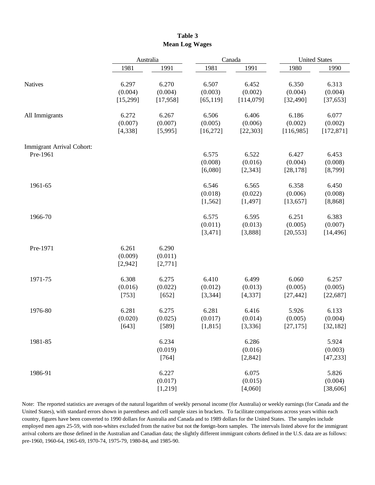|                                       |                               | Australia                     |                               | Canada                        | <b>United States</b>          |                                |  |
|---------------------------------------|-------------------------------|-------------------------------|-------------------------------|-------------------------------|-------------------------------|--------------------------------|--|
|                                       | 1981                          | 1991                          | 1981                          | 1991                          | 1980                          | 1990                           |  |
| Natives                               | 6.297<br>(0.004)<br>[15, 299] | 6.270<br>(0.004)<br>[17, 958] | 6.507<br>(0.003)<br>[65, 119] | 6.452<br>(0.002)<br>[114,079] | 6.350<br>(0.004)<br>[32, 490] | 6.313<br>(0.004)<br>[37, 653]  |  |
| All Immigrants                        | 6.272<br>(0.007)<br>[4, 338]  | 6.267<br>(0.007)<br>[5,995]   | 6.506<br>(0.005)<br>[16, 272] | 6.406<br>(0.006)<br>[22, 303] | 6.186<br>(0.002)<br>[116,985] | 6.077<br>(0.002)<br>[172, 871] |  |
| Immigrant Arrival Cohort:<br>Pre-1961 |                               |                               | 6.575<br>(0.008)<br>[6,080]   | 6.522<br>(0.016)<br>[2, 343]  | 6.427<br>(0.004)<br>[28, 178] | 6.453<br>(0.008)<br>[8, 799]   |  |
| 1961-65                               |                               |                               | 6.546<br>(0.018)<br>[1, 562]  | 6.565<br>(0.022)<br>[1,497]   | 6.358<br>(0.006)<br>[13, 657] | 6.450<br>(0.008)<br>[8, 868]   |  |
| 1966-70                               |                               |                               | 6.575<br>(0.011)<br>[3,471]   | 6.595<br>(0.013)<br>[3,888]   | 6.251<br>(0.005)<br>[20, 553] | 6.383<br>(0.007)<br>[14, 496]  |  |
| Pre-1971                              | 6.261<br>(0.009)<br>[2,942]   | 6.290<br>(0.011)<br>[2,771]   |                               |                               |                               |                                |  |
| 1971-75                               | 6.308<br>(0.016)<br>[753]     | 6.275<br>(0.022)<br>$[652]$   | 6.410<br>(0.012)<br>[3, 344]  | 6.499<br>(0.013)<br>[4, 337]  | 6.060<br>(0.005)<br>[27, 442] | 6.257<br>(0.005)<br>[22, 687]  |  |
| 1976-80                               | 6.281<br>(0.020)<br>[643]     | 6.275<br>(0.025)<br>$[589]$   | 6.281<br>(0.017)<br>[1, 815]  | 6.416<br>(0.014)<br>[3, 336]  | 5.926<br>(0.005)<br>[27, 175] | 6.133<br>(0.004)<br>[32, 182]  |  |
| 1981-85                               |                               | 6.234<br>(0.019)<br>$[764]$   |                               | 6.286<br>(0.016)<br>[2, 842]  |                               | 5.924<br>(0.003)<br>[47, 233]  |  |
| 1986-91                               |                               | 6.227<br>(0.017)<br>[1,219]   |                               | 6.075<br>(0.015)<br>[4,060]   |                               | 5.826<br>(0.004)<br>[38, 606]  |  |

**Table 3 Mean Log Wages**

Note: The reported statistics are averages of the natural logarithm of weekly personal income (for Australia) or weekly earnings (for Canada and the United States), with standard errors shown in parentheses and cell sample sizes in brackets. To facilitate comparisons across years within each country, figures have been converted to 1990 dollars for Australia and Canada and to 1989 dollars for the United States. The samples include employed men ages 25-59, with non-whites excluded from the native but not the foreign-born samples. The intervals listed above for the immigrant arrival cohorts are those defined in the Australian and Canadian data; the slightly different immigrant cohorts defined in the U.S. data are as follows: pre-1960, 1960-64, 1965-69, 1970-74, 1975-79, 1980-84, and 1985-90.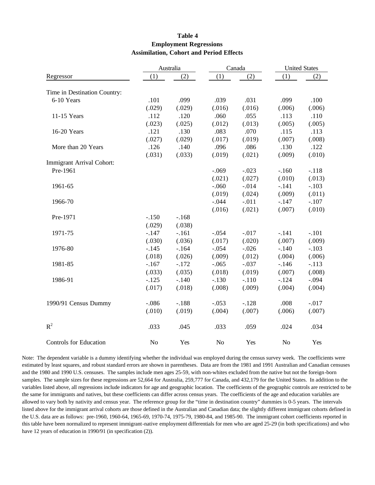#### **Table 4 Employment Regressions Assimilation, Cohort and Period Effects**

|                               |                | Australia |                | Canada  | <b>United States</b> |         |  |
|-------------------------------|----------------|-----------|----------------|---------|----------------------|---------|--|
| Regressor                     | (1)            | (2)       | (1)            | (2)     | (1)                  | (2)     |  |
|                               |                |           |                |         |                      |         |  |
| Time in Destination Country:  |                |           |                |         |                      |         |  |
| 6-10 Years                    | .101           | .099      | .039           | .031    | .099                 | .100    |  |
|                               | (.029)         | (.029)    | (.016)         | (.016)  | (.006)               | (.006)  |  |
| 11-15 Years                   | .112           | .120      | .060           | .055    | .113                 | .110    |  |
|                               | (.023)         | (.025)    | (.012)         | (.013)  | (.005)               | (.005)  |  |
| 16-20 Years                   | .121           | .130      | .083           | .070    | .115                 | .113    |  |
|                               | (.027)         | (.029)    | (.017)         | (.019)  | (.007)               | (.008)  |  |
| More than 20 Years            | .126           | .140      | .096           | .086    | .130                 | .122    |  |
|                               | (.031)         | (.033)    | (.019)         | (.021)  | (.009)               | (.010)  |  |
| Immigrant Arrival Cohort:     |                |           |                |         |                      |         |  |
| Pre-1961                      |                |           | $-.069$        | $-.023$ | $-.160$              | $-.118$ |  |
|                               |                |           | (.021)         | (.027)  | (.010)               | (.013)  |  |
| 1961-65                       |                |           | $-.060$        | $-.014$ | $-.141$              | $-.103$ |  |
|                               |                |           | (.019)         | (.024)  | (.009)               | (.011)  |  |
| 1966-70                       |                |           | $-.044$        | $-.011$ | $-.147$              | $-.107$ |  |
|                               |                |           | (.016)         | (.021)  | (.007)               | (.010)  |  |
| Pre-1971                      | $-.150$        | $-.168$   |                |         |                      |         |  |
|                               | (.029)         | (.038)    |                |         |                      |         |  |
| 1971-75                       | $-.147$        | $-.161$   | $-.054$        | $-.017$ | $-.141$              | $-.101$ |  |
|                               | (.030)         | (.036)    | (.017)         | (.020)  | (.007)               | (.009)  |  |
| 1976-80                       | $-.145$        | $-164$    | $-.054$        | $-.026$ | $-.140$              | $-.103$ |  |
|                               | (.018)         | (.026)    | (.009)         | (.012)  | (.004)               | (.006)  |  |
| 1981-85                       | $-.167$        | $-.172$   | $-.065$        | $-.037$ | $-.146$              | $-.113$ |  |
|                               | (.033)         | (.035)    | (.018)         | (.019)  | (.007)               | (.008)  |  |
| 1986-91                       | $-.125$        | $-.140$   | $-.130$        | $-.110$ | $-.124$              | $-.094$ |  |
|                               | (.017)         | (.018)    | (.008)         | (.009)  | (.004)               | (.004)  |  |
| 1990/91 Census Dummy          | $-.086$        | $-.188$   | $-.053$        | $-.128$ | .008                 | $-.017$ |  |
|                               | (.010)         | (.019)    | (.004)         | (.007)  | (.006)               | (.007)  |  |
| $R^2$                         | .033           | .045      | .033           | .059    | .024                 | .034    |  |
| <b>Controls for Education</b> | N <sub>o</sub> | Yes       | N <sub>o</sub> | Yes     | N <sub>o</sub>       | Yes     |  |

Note: The dependent variable is a dummy identifying whether the individual was employed during the census survey week. The coefficients were estimated by least squares, and robust standard errors are shown in parentheses. Data are from the 1981 and 1991 Australian and Canadian censuses and the 1980 and 1990 U.S. censuses. The samples include men ages 25-59, with non-whites excluded from the native but not the foreign-born samples. The sample sizes for these regressions are 52,664 for Australia, 259,777 for Canada, and 432,179 for the United States. In addition to the variables listed above, all regressions include indicators for age and geographic location. The coefficients of the geographic controls are restricted to be the same for immigrants and natives, but these coefficients can differ across census years. The coefficients of the age and education variables are allowed to vary both by nativity and census year. The reference group for the "time in destination country" dummies is 0-5 years. The intervals listed above for the immigrant arrival cohorts are those defined in the Australian and Canadian data; the slightly different immigrant cohorts defined in the U.S. data are as follows: pre-1960, 1960-64, 1965-69, 1970-74, 1975-79, 1980-84, and 1985-90. The immigrant cohort coefficients reported in this table have been normalized to represent immigrant-native employment differentials for men who are aged 25-29 (in both specifications) and who have 12 years of education in 1990/91 (in specification (2)).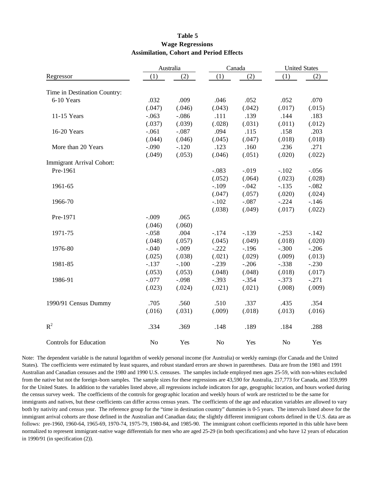#### **Table 5 Wage Regressions Assimilation, Cohort and Period Effects**

|                               |                | Australia |                | Canada  |                | <b>United States</b> |  |
|-------------------------------|----------------|-----------|----------------|---------|----------------|----------------------|--|
| Regressor                     | (1)            | (2)       | (1)            | (2)     | (1)            | (2)                  |  |
|                               |                |           |                |         |                |                      |  |
| Time in Destination Country:  |                |           |                |         |                |                      |  |
| 6-10 Years                    | .032           | .009      | .046           | .052    | .052           | .070                 |  |
|                               | (.047)         | (.046)    | (.043)         | (.042)  | (.017)         | (.015)               |  |
| 11-15 Years                   | $-.063$        | $-.086$   | .111           | .139    | .144           | .183                 |  |
|                               | (.037)         | (.039)    | (.028)         | (.031)  | (.011)         | (.012)               |  |
| 16-20 Years                   | $-.061$        | $-.087$   | .094           | .115    | .158           | .203                 |  |
|                               | (.044)         | (.046)    | (.045)         | (.047)  | (.018)         | (.018)               |  |
| More than 20 Years            | $-.090$        | $-.120$   | .123           | .160    | .236           | .271                 |  |
|                               | (.049)         | (.053)    | (.046)         | (.051)  | (.020)         | (.022)               |  |
| Immigrant Arrival Cohort:     |                |           |                |         |                |                      |  |
| Pre-1961                      |                |           | $-.083$        | $-.019$ | $-.102$        | $-.056$              |  |
|                               |                |           | (.052)         | (.064)  | (.023)         | (.028)               |  |
| 1961-65                       |                |           | $-.109$        | $-.042$ | $-.135$        | $-.082$              |  |
|                               |                |           | (.047)         | (.057)  | (.020)         | (.024)               |  |
| 1966-70                       |                |           | $-.102$        | $-.087$ | $-.224$        | $-.146$              |  |
|                               |                |           | (.038)         | (.049)  | (.017)         | (.022)               |  |
| Pre-1971                      | $-.009$        | .065      |                |         |                |                      |  |
|                               | (.046)         | (.060)    |                |         |                |                      |  |
| 1971-75                       | $-.058$        | .004      | $-.174$        | $-.139$ | $-.253$        | $-.142$              |  |
|                               | (.048)         | (.057)    | (.045)         | (.049)  | (.018)         | (.020)               |  |
| 1976-80                       | $-.040$        | $-.009$   | $-.222$        | $-.196$ | $-.300$        | $-.206$              |  |
|                               | (.025)         | (.038)    | (.021)         | (.029)  | (.009)         | (.013)               |  |
| 1981-85                       | $-.137$        | $-.100$   | $-.239$        | $-.206$ | $-.338$        | $-.230$              |  |
|                               | (.053)         | (.053)    | (.048)         | (.048)  | (.018)         | (.017)               |  |
| 1986-91                       | $-.077$        | $-.098$   | $-.393$        | $-.354$ | $-.373$        | $-.271$              |  |
|                               | (.023)         | (.024)    | (.021)         | (.021)  | (.008)         | (.009)               |  |
|                               |                |           |                |         |                |                      |  |
| 1990/91 Census Dummy          | .705           | .560      | .510           | .337    | .435           | .354                 |  |
|                               | (.016)         | (.031)    | (.009)         | (.018)  | (.013)         | (.016)               |  |
|                               |                |           |                |         |                |                      |  |
| $R^2$                         | .334           | .369      | .148           | .189    | .184           | .288                 |  |
|                               |                |           |                |         |                |                      |  |
| <b>Controls for Education</b> | N <sub>o</sub> | Yes       | N <sub>o</sub> | Yes     | N <sub>o</sub> | Yes                  |  |

Note: The dependent variable is the natural logarithm of weekly personal income (for Australia) or weekly earnings (for Canada and the United States). The coefficients were estimated by least squares, and robust standard errors are shown in parentheses. Data are from the 1981 and 1991 Australian and Canadian censuses and the 1980 and 1990 U.S. censuses. The samples include employed men ages 25-59, with non-whites excluded from the native but not the foreign-born samples. The sample sizes for these regressions are 43,590 for Australia, 217,773 for Canada, and 359,999 for the United States. In addition to the variables listed above, all regressions include indicators for age, geographic location, and hours worked during the census survey week. The coefficients of the controls for geographic location and weekly hours of work are restricted to be the same for immigrants and natives, but these coefficients can differ across census years. The coefficients of the age and education variables are allowed to vary both by nativity and census year. The reference group for the "time in destination country" dummies is 0-5 years. The intervals listed above for the immigrant arrival cohorts are those defined in the Australian and Canadian data; the slightly different immigrant cohorts defined in the U.S. data are as follows: pre-1960, 1960-64, 1965-69, 1970-74, 1975-79, 1980-84, and 1985-90. The immigrant cohort coefficients reported in this table have been normalized to represent immigrant-native wage differentials for men who are aged 25-29 (in both specifications) and who have 12 years of education in 1990/91 (in specification (2)).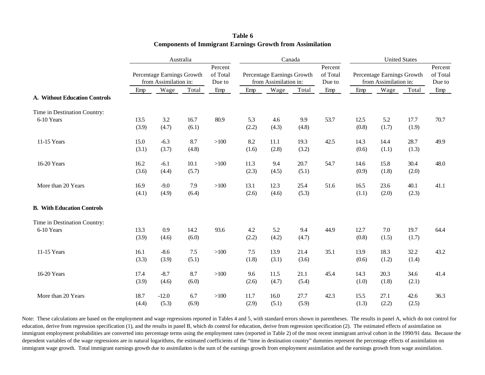|                                   | Australia |                                                     |       |                               | Canada |                                                     |       | <b>United States</b>          |       |                                                     |       |      |
|-----------------------------------|-----------|-----------------------------------------------------|-------|-------------------------------|--------|-----------------------------------------------------|-------|-------------------------------|-------|-----------------------------------------------------|-------|------|
|                                   |           | Percentage Earnings Growth<br>from Assimilation in: |       | Percent<br>of Total<br>Due to |        | Percentage Earnings Growth<br>from Assimilation in: |       | Percent<br>of Total<br>Due to |       | Percentage Earnings Growth<br>from Assimilation in: |       |      |
|                                   | Emp       | Wage                                                | Total | Emp                           | Emp    | Wage                                                | Total | Emp                           | Emp   | Wage                                                | Total | Emp  |
| A. Without Education Controls     |           |                                                     |       |                               |        |                                                     |       |                               |       |                                                     |       |      |
| Time in Destination Country:      |           |                                                     |       |                               |        |                                                     |       |                               |       |                                                     |       |      |
| 6-10 Years                        | 13.5      | 3.2                                                 | 16.7  | 80.9                          | 5.3    | 4.6                                                 | 9.9   | 53.7                          | 12.5  | 5.2                                                 | 17.7  | 70.7 |
|                                   | (3.9)     | (4.7)                                               | (6.1) |                               | (2.2)  | (4.3)                                               | (4.8) |                               | (0.8) | (1.7)                                               | (1.9) |      |
| 11-15 Years                       | 15.0      | $-6.3$                                              | 8.7   | $>100$                        | 8.2    | 11.1                                                | 19.3  | 42.5                          | 14.3  | 14.4                                                | 28.7  | 49.9 |
|                                   | (3.1)     | (3.7)                                               | (4.8) |                               | (1.6)  | (2.8)                                               | (3.2) |                               | (0.6) | (1.1)                                               | (1.3) |      |
| 16-20 Years                       | 16.2      | $-6.1$                                              | 10.1  | $>100$                        | 11.3   | 9.4                                                 | 20.7  | 54.7                          | 14.6  | 15.8                                                | 30.4  | 48.0 |
|                                   | (3.6)     | (4.4)                                               | (5.7) |                               | (2.3)  | (4.5)                                               | (5.1) |                               | (0.9) | (1.8)                                               | (2.0) |      |
| More than 20 Years                | 16.9      | $-9.0$                                              | 7.9   | >100                          | 13.1   | 12.3                                                | 25.4  | 51.6                          | 16.5  | 23.6                                                | 40.1  | 41.1 |
|                                   | (4.1)     | (4.9)                                               | (6.4) |                               | (2.6)  | (4.6)                                               | (5.3) |                               | (1.1) | (2.0)                                               | (2.3) |      |
| <b>B.</b> With Education Controls |           |                                                     |       |                               |        |                                                     |       |                               |       |                                                     |       |      |
| Time in Destination Country:      |           |                                                     |       |                               |        |                                                     |       |                               |       |                                                     |       |      |
| 6-10 Years                        | 13.3      | 0.9                                                 | 14.2  | 93.6                          | 4.2    | 5.2                                                 | 9.4   | 44.9                          | 12.7  | 7.0                                                 | 19.7  | 64.4 |
|                                   | (3.9)     | (4.6)                                               | (6.0) |                               | (2.2)  | (4.2)                                               | (4.7) |                               | (0.8) | (1.5)                                               | (1.7) |      |
| 11-15 Years                       | 16.1      | $-8.6$                                              | 7.5   | $>100$                        | 7.5    | 13.9                                                | 21.4  | 35.1                          | 13.9  | 18.3                                                | 32.2  | 43.2 |
|                                   | (3.3)     | (3.9)                                               | (5.1) |                               | (1.8)  | (3.1)                                               | (3.6) |                               | (0.6) | (1.2)                                               | (1.4) |      |
| 16-20 Years                       | 17.4      | $-8.7$                                              | 8.7   | $>100$                        | 9.6    | 11.5                                                | 21.1  | 45.4                          | 14.3  | 20.3                                                | 34.6  | 41.4 |
|                                   | (3.9)     | (4.6)                                               | (6.0) |                               | (2.6)  | (4.7)                                               | (5.4) |                               | (1.0) | (1.8)                                               | (2.1) |      |
| More than 20 Years                | 18.7      | $-12.0$                                             | 6.7   | $>100$                        | 11.7   | 16.0                                                | 27.7  | 42.3                          | 15.5  | 27.1                                                | 42.6  | 36.3 |
|                                   | (4.4)     | (5.3)                                               | (6.9) |                               | (2.9)  | (5.1)                                               | (5.9) |                               | (1.3) | (2.2)                                               | (2.5) |      |

#### **Table 6 Components of Immigrant Earnings Growth from Assimilation**

Note: These calculations are based on the employment and wage regressions reported in Tables 4 and 5, with standard errors shown in parentheses. The results in panel A, which do not control for education, derive from regression specification (1), and the results in panel B, which do control for education, derive from regression specification (2). The estimated effects of assimilation on immigrant employment probabilities are converted into percentage terms using the employment rates (reported in Table 2) of the most recent immigrant arrival cohort in the 1990/91 data. Because the dependent variables of the wage regressions are in natural logarithms, the estimated coefficients of the "time in destination country" dummies represent the percentage effects of assimilation on immigrant wage growth. Total immigrant earnings growth due to assimilation is the sum of the earnings growth from employment assimilation and the earnings growth from wage assimilation.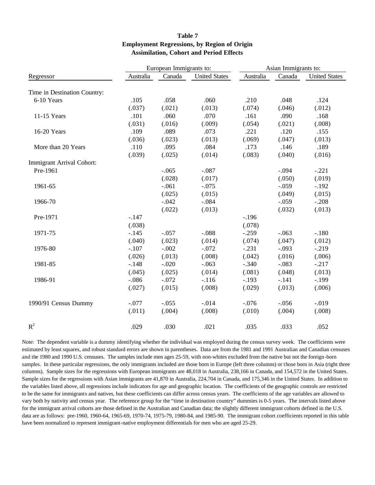|                              |           | European Immigrants to: |                      | Asian Immigrants to: |         |                      |  |
|------------------------------|-----------|-------------------------|----------------------|----------------------|---------|----------------------|--|
| Regressor                    | Australia | Canada                  | <b>United States</b> | Australia            | Canada  | <b>United States</b> |  |
| Time in Destination Country: |           |                         |                      |                      |         |                      |  |
| 6-10 Years                   | .105      | .058                    | .060                 | .210                 | .048    | .124                 |  |
|                              | (.037)    | (.021)                  | (.013)               | (.074)               | (.046)  | (.012)               |  |
| 11-15 Years                  | .101      | .060                    | .070                 | .161                 | .090    | .168                 |  |
|                              | (.031)    | (.016)                  | (.009)               | (.054)               | (.021)  | (.008)               |  |
| 16-20 Years                  | .109      | .089                    | .073                 | .221                 | .120    | .155                 |  |
|                              | (.036)    | (.023)                  | (.013)               | (.069)               | (.047)  | (.013)               |  |
| More than 20 Years           | .110      | .095                    | .084                 | .173                 | .146    | .189                 |  |
|                              | (.039)    | (.025)                  | (.014)               | (.083)               | (.040)  | (.016)               |  |
| Immigrant Arrival Cohort:    |           |                         |                      |                      |         |                      |  |
| Pre-1961                     |           | $-.065$                 | $-.087$              |                      | $-.094$ | $-.221$              |  |
|                              |           | (.028)                  | (.017)               |                      | (.050)  | (.019)               |  |
| 1961-65                      |           | $-.061$                 | $-.075$              |                      | $-.059$ | $-.192$              |  |
|                              |           | (.025)                  | (.015)               |                      | (.049)  | (.015)               |  |
| 1966-70                      |           | $-.042$                 | $-.084$              |                      | $-.059$ | $-.208$              |  |
|                              |           | (.022)                  | (.013)               |                      | (.032)  | (.013)               |  |
| Pre-1971                     | $-.147$   |                         |                      | $-.196$              |         |                      |  |
|                              | (.038)    |                         |                      | (.078)               |         |                      |  |
| 1971-75                      | $-.145$   | $-.057$                 | $-.088$              | $-.259$              | $-.063$ | $-.180$              |  |
|                              | (.040)    | (.023)                  | (.014)               | (.074)               | (.047)  | (.012)               |  |
| 1976-80                      | $-.107$   | $-.002$                 | $-.072$              | $-.231$              | $-.093$ | $-.219$              |  |
|                              | (.026)    | (.013)                  | (.008)               | (.042)               | (.016)  | (.006)               |  |
| 1981-85                      | $-.148$   | $-.020$                 | $-.063$              | $-.340$              | $-.083$ | $-.217$              |  |
|                              | (.045)    | (.025)                  | (.014)               | (.081)               | (.048)  | (.013)               |  |
| 1986-91                      | $-.086$   | $-.072$                 | $-.116$              | $-.193$              | $-.141$ | $-.199$              |  |
|                              | (.027)    | (.015)                  | (.008)               | (.029)               | (.013)  | (.006)               |  |
| 1990/91 Census Dummy         | $-.077$   | $-.055$                 | $-.014$              | $-.076$              | $-.056$ | $-.019$              |  |
|                              | (.011)    | (.004)                  | (.008)               | (.010)               | (.004)  | (.008)               |  |
| $R^2$                        | .029      | .030                    | .021                 | .035                 | .033    | .052                 |  |

#### **Table 7 Employment Regressions, by Region of Origin Assimilation, Cohort and Period Effects**

Note: The dependent variable is a dummy identifying whether the individual was employed during the census survey week. The coefficients were estimated by least squares, and robust standard errors are shown in parentheses. Data are from the 1981 and 1991 Australian and Canadian censuses and the 1980 and 1990 U.S. censuses. The samples include men ages 25-59, with non-whites excluded from the native but not the foreign-born samples. In these particular regressions, the only immigrants included are those born in Europe (left three columns) or those born in Asia (right three columns). Sample sizes for the regressions with European immigrants are 48,018 in Australia, 238,166 in Canada, and 154,572 in the United States. Sample sizes for the regressions with Asian immigrants are 41,870 in Australia, 224,704 in Canada, and 175,346 in the United States. In addition to the variables listed above, all regressions include indicators for age and geographic location. The coefficients of the geographic controls are restricted to be the same for immigrants and natives, but these coefficients can differ across census years. The coefficients of the age variables are allowed to vary both by nativity and census year. The reference group for the "time in destination country" dummies is 0-5 years. The intervals listed above for the immigrant arrival cohorts are those defined in the Australian and Canadian data; the slightly different immigrant cohorts defined in the U.S. data are as follows: pre-1960, 1960-64, 1965-69, 1970-74, 1975-79, 1980-84, and 1985-90. The immigrant cohort coefficients reported in this table have been normalized to represent immigrant-native employment differentials for men who are aged 25-29.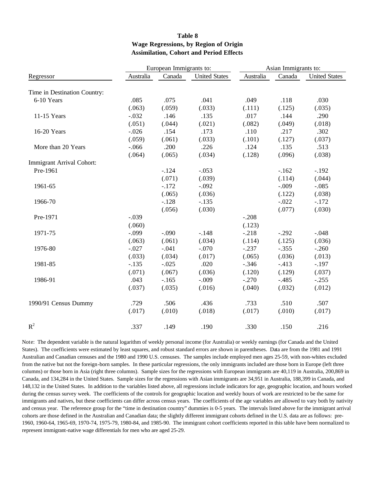#### **Table 8 Wage Regressions, by Region of Origin Assimilation, Cohort and Period Effects**

|                              |           | European Immigrants to: |                      | Asian Immigrants to: |         |                      |  |
|------------------------------|-----------|-------------------------|----------------------|----------------------|---------|----------------------|--|
| Regressor                    | Australia | Canada                  | <b>United States</b> | Australia            | Canada  | <b>United States</b> |  |
| Time in Destination Country: |           |                         |                      |                      |         |                      |  |
| 6-10 Years                   | .085      | .075                    | .041                 | .049                 | .118    | .030                 |  |
|                              | (.063)    | (.059)                  | (.033)               | (.111)               | (.125)  | (.035)               |  |
| 11-15 Years                  | $-.032$   | .146                    | .135                 | .017                 | .144    | .290                 |  |
|                              | (.051)    | (.044)                  | (.021)               | (.082)               | (.049)  | (.018)               |  |
| 16-20 Years                  | $-.026$   | .154                    | .173                 | .110                 | .217    | .302                 |  |
|                              | (.059)    | (.061)                  | (.033)               | (.101)               | (.127)  | (.037)               |  |
| More than 20 Years           | $-.066$   | .200                    | .226                 | .124                 | .135    | .513                 |  |
|                              | (.064)    | (.065)                  | (.034)               | (.128)               | (.096)  | (.038)               |  |
| Immigrant Arrival Cohort:    |           |                         |                      |                      |         |                      |  |
| Pre-1961                     |           | $-.124$                 | $-.053$              |                      | $-.162$ | $-.192$              |  |
|                              |           | (.071)                  | (.039)               |                      | (.114)  | (.044)               |  |
| 1961-65                      |           | $-.172$                 | $-.092$              |                      | $-.009$ | $-.085$              |  |
|                              |           | (.065)                  | (.036)               |                      | (.122)  | (.038)               |  |
| 1966-70                      |           | $-.128$                 | $-.135$              |                      | $-.022$ | $-.172$              |  |
|                              |           | (.056)                  | (.030)               |                      | (.077)  | (.030)               |  |
| Pre-1971                     | $-.039$   |                         |                      | $-.208$              |         |                      |  |
|                              | (.060)    |                         |                      | (.123)               |         |                      |  |
| 1971-75                      | $-.099$   | $-.090$                 | $-.148$              | $-.218$              | $-.292$ | $-.048$              |  |
|                              | (.063)    | (.061)                  | (.034)               | (.114)               | (.125)  | (.036)               |  |
| 1976-80                      | $-.027$   | $-.041$                 | $-.070$              | $-.237$              | $-.355$ | $-.260$              |  |
|                              | (.033)    | (.034)                  | (.017)               | (.065)               | (.036)  | (.013)               |  |
| 1981-85                      | $-.135$   | $-.025$                 | .020                 | $-.346$              | $-.413$ | $-.197$              |  |
|                              | (.071)    | (.067)                  | (.036)               | (.120)               | (.129)  | (.037)               |  |
| 1986-91                      | .043      | $-.165$                 | $-.009$              | $-.270$              | $-.485$ | $-.255$              |  |
|                              | (.037)    | (.035)                  | (.016)               | (.040)               | (.032)  | (.012)               |  |
| 1990/91 Census Dummy         | .729      | .506                    | .436                 | .733                 | .510    | .507                 |  |
|                              | (.017)    | (.010)                  | (.018)               | (.017)               | (.010)  | (.017)               |  |
| $R^2$                        | .337      | .149                    | .190                 | .330                 | .150    | .216                 |  |

Note: The dependent variable is the natural logarithm of weekly personal income (for Australia) or weekly earnings (for Canada and the United States). The coefficients were estimated by least squares, and robust standard errors are shown in parentheses. Data are from the 1981 and 1991 Australian and Canadian censuses and the 1980 and 1990 U.S. censuses. The samples include employed men ages 25-59, with non-whites excluded from the native but not the foreign-born samples. In these particular regressions, the only immigrants included are those born in Europe (left three columns) or those born in Asia (right three columns). Sample sizes for the regressions with European immigrants are 40,119 in Australia, 200,869 in Canada, and 134,284 in the United States. Sample sizes for the regressions with Asian immigrants are 34,951 in Australia, 188,399 in Canada, and 148,132 in the United States. In addition to the variables listed above, all regressions include indicators for age, geographic location, and hours worked during the census survey week. The coefficients of the controls for geographic location and weekly hours of work are restricted to be the same for immigrants and natives, but these coefficients can differ across census years. The coefficients of the age variables are allowed to vary both by nativity and census year. The reference group for the "time in destination country" dummies is 0-5 years. The intervals listed above for the immigrant arrival cohorts are those defined in the Australian and Canadian data; the slightly different immigrant cohorts defined in the U.S. data are as follows: pre-1960, 1960-64, 1965-69, 1970-74, 1975-79, 1980-84, and 1985-90. The immigrant cohort coefficients reported in this table have been normalized to represent immigrant-native wage differentials for men who are aged 25-29.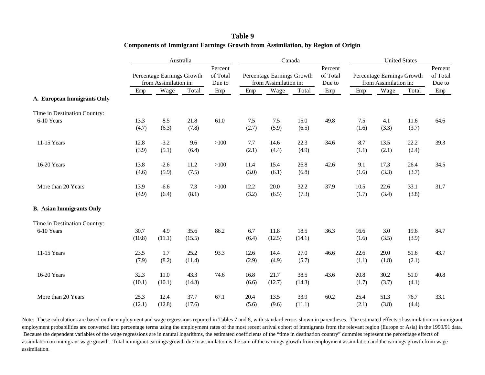|                                 |                | Australia                                           |                |                               |               |                                                     | Canada         |                               | <b>United States</b>                                |               |               |                               |
|---------------------------------|----------------|-----------------------------------------------------|----------------|-------------------------------|---------------|-----------------------------------------------------|----------------|-------------------------------|-----------------------------------------------------|---------------|---------------|-------------------------------|
|                                 |                | Percentage Earnings Growth<br>from Assimilation in: |                | Percent<br>of Total<br>Due to |               | Percentage Earnings Growth<br>from Assimilation in: |                | Percent<br>of Total<br>Due to | Percentage Earnings Growth<br>from Assimilation in: |               |               | Percent<br>of Total<br>Due to |
|                                 | Emp            | Wage                                                | Total          | Emp                           | Emp           | Wage                                                | Total          | Emp                           | Emp                                                 | Wage          | Total         | Emp                           |
| A. European Immigrants Only     |                |                                                     |                |                               |               |                                                     |                |                               |                                                     |               |               |                               |
| Time in Destination Country:    |                |                                                     |                |                               |               |                                                     |                |                               |                                                     |               |               |                               |
| 6-10 Years                      | 13.3<br>(4.7)  | 8.5<br>(6.3)                                        | 21.8<br>(7.8)  | 61.0                          | 7.5<br>(2.7)  | 7.5<br>(5.9)                                        | 15.0<br>(6.5)  | 49.8                          | 7.5<br>(1.6)                                        | 4.1<br>(3.3)  | 11.6<br>(3.7) | 64.6                          |
| 11-15 Years                     | 12.8<br>(3.9)  | $-3.2$<br>(5.1)                                     | 9.6<br>(6.4)   | >100                          | 7.7<br>(2.1)  | 14.6<br>(4.4)                                       | 22.3<br>(4.9)  | 34.6                          | 8.7<br>(1.1)                                        | 13.5<br>(2.1) | 22.2<br>(2.4) | 39.3                          |
| 16-20 Years                     | 13.8<br>(4.6)  | $-2.6$<br>(5.9)                                     | 11.2<br>(7.5)  | >100                          | 11.4<br>(3.0) | 15.4<br>(6.1)                                       | 26.8<br>(6.8)  | 42.6                          | 9.1<br>(1.6)                                        | 17.3<br>(3.3) | 26.4<br>(3.7) | 34.5                          |
| More than 20 Years              | 13.9<br>(4.9)  | $-6.6$<br>(6.4)                                     | 7.3<br>(8.1)   | $>100$                        | 12.2<br>(3.2) | 20.0<br>(6.5)                                       | 32.2<br>(7.3)  | 37.9                          | 10.5<br>(1.7)                                       | 22.6<br>(3.4) | 33.1<br>(3.8) | 31.7                          |
| <b>B.</b> Asian Immigrants Only |                |                                                     |                |                               |               |                                                     |                |                               |                                                     |               |               |                               |
| Time in Destination Country:    |                |                                                     |                |                               |               |                                                     |                |                               |                                                     |               |               |                               |
| 6-10 Years                      | 30.7<br>(10.8) | 4.9<br>(11.1)                                       | 35.6<br>(15.5) | 86.2                          | 6.7<br>(6.4)  | 11.8<br>(12.5)                                      | 18.5<br>(14.1) | 36.3                          | 16.6<br>(1.6)                                       | 3.0<br>(3.5)  | 19.6<br>(3.9) | 84.7                          |
| 11-15 Years                     | 23.5<br>(7.9)  | 1.7<br>(8.2)                                        | 25.2<br>(11.4) | 93.3                          | 12.6<br>(2.9) | 14.4<br>(4.9)                                       | 27.0<br>(5.7)  | 46.6                          | 22.6<br>(1.1)                                       | 29.0<br>(1.8) | 51.6<br>(2.1) | 43.7                          |
| 16-20 Years                     | 32.3<br>(10.1) | 11.0<br>(10.1)                                      | 43.3<br>(14.3) | 74.6                          | 16.8<br>(6.6) | 21.7<br>(12.7)                                      | 38.5<br>(14.3) | 43.6                          | 20.8<br>(1.7)                                       | 30.2<br>(3.7) | 51.0<br>(4.1) | 40.8                          |
| More than 20 Years              | 25.3<br>(12.1) | 12.4<br>(12.8)                                      | 37.7<br>(17.6) | 67.1                          | 20.4<br>(5.6) | 13.5<br>(9.6)                                       | 33.9<br>(11.1) | 60.2                          | 25.4<br>(2.1)                                       | 51.3<br>(3.8) | 76.7<br>(4.4) | 33.1                          |

#### **Table 9 Components of Immigrant Earnings Growth from Assimilation, by Region of Origin**

Note: These calculations are based on the employment and wage regressions reported in Tables 7 and 8, with standard errors shown in parentheses. The estimated effects of assimilation on immigrant employment probabilities are converted into percentage terms using the employment rates of the most recent arrival cohort of immigrants from the relevant region (Europe or Asia) in the 1990/91 data. Because the dependent variables of the wage regressions are in natural logarithms, the estimated coefficients of the "time in destination country" dummies represent the percentage effects of assimilation on immigrant wage growth. Total immigrant earnings growth due to assimilation is the sum of the earnings growth from employment assimilation and the earnings growth from wage assimilation.